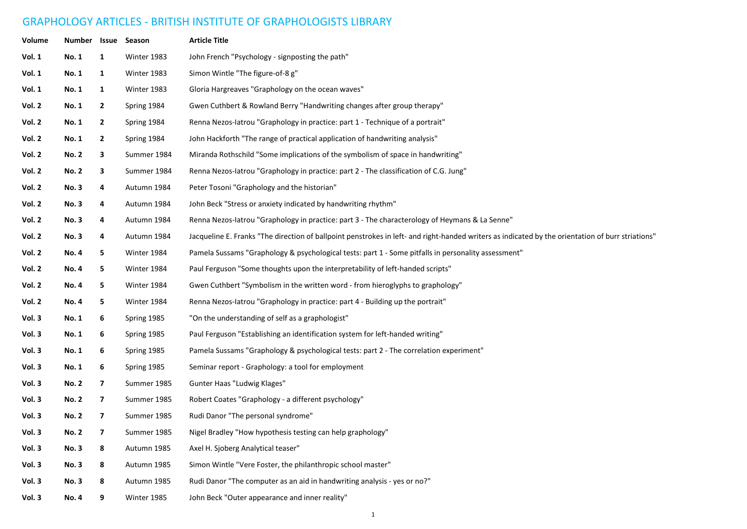## GRAPHOLOGY ARTICLES - BRITISH INSTITUTE OF GRAPHOLOGISTS LIBRARY

| Volume        | <b>Number</b> | Issue                    | Season      | <b>Article Title</b>                                                                                                                              |  |
|---------------|---------------|--------------------------|-------------|---------------------------------------------------------------------------------------------------------------------------------------------------|--|
| Vol. 1        | <b>No. 1</b>  | 1                        | Winter 1983 | John French "Psychology - signposting the path"                                                                                                   |  |
| <b>Vol. 1</b> | <b>No. 1</b>  | $\mathbf{1}$             | Winter 1983 | Simon Wintle "The figure-of-8 g"                                                                                                                  |  |
| <b>Vol. 1</b> | <b>No. 1</b>  | 1                        | Winter 1983 | Gloria Hargreaves "Graphology on the ocean waves"                                                                                                 |  |
| Vol. 2        | <b>No. 1</b>  | $\mathbf{2}$             | Spring 1984 | Gwen Cuthbert & Rowland Berry "Handwriting changes after group therapy"                                                                           |  |
| Vol. 2        | No. 1         | $\mathbf{2}$             | Spring 1984 | Renna Nezos-latrou "Graphology in practice: part 1 - Technique of a portrait"                                                                     |  |
| Vol. 2        | <b>No. 1</b>  | $\mathbf{2}$             | Spring 1984 | John Hackforth "The range of practical application of handwriting analysis"                                                                       |  |
| Vol. 2        | <b>No. 2</b>  | 3                        | Summer 1984 | Miranda Rothschild "Some implications of the symbolism of space in handwriting"                                                                   |  |
| Vol. 2        | <b>No. 2</b>  | 3                        | Summer 1984 | Renna Nezos-latrou "Graphology in practice: part 2 - The classification of C.G. Jung"                                                             |  |
| Vol. 2        | <b>No.3</b>   | 4                        | Autumn 1984 | Peter Tosoni "Graphology and the historian"                                                                                                       |  |
| <b>Vol. 2</b> | <b>No.3</b>   | 4                        | Autumn 1984 | John Beck "Stress or anxiety indicated by handwriting rhythm"                                                                                     |  |
| Vol. 2        | <b>No.3</b>   | 4                        | Autumn 1984 | Renna Nezos-latrou "Graphology in practice: part 3 - The characterology of Heymans & La Senne"                                                    |  |
| Vol. 2        | No. 3         | 4                        | Autumn 1984 | Jacqueline E. Franks "The direction of ballpoint penstrokes in left- and right-handed writers as indicated by the orientation of burr striations" |  |
| Vol. 2        | <b>No. 4</b>  | 5                        | Winter 1984 | Pamela Sussams "Graphology & psychological tests: part 1 - Some pitfalls in personality assessment"                                               |  |
| Vol. 2        | <b>No. 4</b>  | 5                        | Winter 1984 | Paul Ferguson "Some thoughts upon the interpretability of left-handed scripts"                                                                    |  |
| Vol. 2        | <b>No. 4</b>  | 5                        | Winter 1984 | Gwen Cuthbert "Symbolism in the written word - from hieroglyphs to graphology"                                                                    |  |
| Vol. 2        | <b>No. 4</b>  | 5                        | Winter 1984 | Renna Nezos-latrou "Graphology in practice: part 4 - Building up the portrait"                                                                    |  |
| Vol. 3        | <b>No. 1</b>  | 6                        | Spring 1985 | "On the understanding of self as a graphologist"                                                                                                  |  |
| Vol. 3        | <b>No. 1</b>  | 6                        | Spring 1985 | Paul Ferguson "Establishing an identification system for left-handed writing"                                                                     |  |
| Vol. 3        | <b>No. 1</b>  | 6                        | Spring 1985 | Pamela Sussams "Graphology & psychological tests: part 2 - The correlation experiment"                                                            |  |
| Vol. 3        | <b>No. 1</b>  | 6                        | Spring 1985 | Seminar report - Graphology: a tool for employment                                                                                                |  |
| Vol. 3        | <b>No. 2</b>  | $\overline{\phantom{a}}$ | Summer 1985 | Gunter Haas "Ludwig Klages"                                                                                                                       |  |
| Vol. 3        | <b>No. 2</b>  | $\overline{\phantom{a}}$ | Summer 1985 | Robert Coates "Graphology - a different psychology"                                                                                               |  |
| Vol. 3        | <b>No. 2</b>  | 7                        | Summer 1985 | Rudi Danor "The personal syndrome"                                                                                                                |  |
| Vol. 3        | <b>No. 2</b>  | 7 <sup>7</sup>           | Summer 1985 | Nigel Bradley "How hypothesis testing can help graphology"                                                                                        |  |
| Vol. 3        | No. 3         | 8                        | Autumn 1985 | Axel H. Sjoberg Analytical teaser"                                                                                                                |  |
| Vol. 3        | <b>No.3</b>   | 8                        | Autumn 1985 | Simon Wintle "Vere Foster, the philanthropic school master"                                                                                       |  |
| Vol. 3        | <b>No. 3</b>  | 8                        | Autumn 1985 | Rudi Danor "The computer as an aid in handwriting analysis - yes or no?"                                                                          |  |
| Vol. 3        | <b>No. 4</b>  | 9                        | Winter 1985 | John Beck "Outer appearance and inner reality"                                                                                                    |  |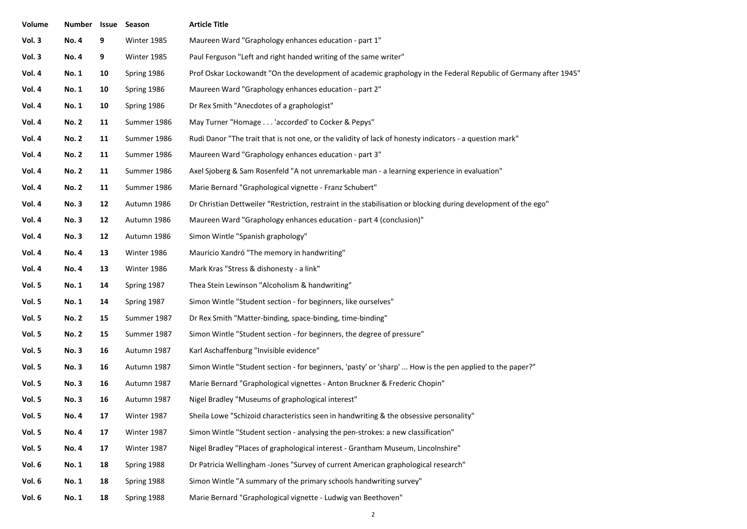| Volume | Number Issue Season |    |             | <b>Article Title</b>                                                                                            |
|--------|---------------------|----|-------------|-----------------------------------------------------------------------------------------------------------------|
| Vol. 3 | <b>No.4</b>         | 9  | Winter 1985 | Maureen Ward "Graphology enhances education - part 1"                                                           |
| Vol. 3 | <b>No.4</b>         | 9  | Winter 1985 | Paul Ferguson "Left and right handed writing of the same writer"                                                |
| Vol. 4 | <b>No. 1</b>        | 10 | Spring 1986 | Prof Oskar Lockowandt "On the development of academic graphology in the Federal Republic of Germany after 1945" |
| Vol. 4 | <b>No. 1</b>        | 10 | Spring 1986 | Maureen Ward "Graphology enhances education - part 2"                                                           |
| Vol. 4 | <b>No. 1</b>        | 10 | Spring 1986 | Dr Rex Smith "Anecdotes of a graphologist"                                                                      |
| Vol. 4 | <b>No. 2</b>        | 11 | Summer 1986 | May Turner "Homage 'accorded' to Cocker & Pepys"                                                                |
| Vol. 4 | <b>No. 2</b>        | 11 | Summer 1986 | Rudi Danor "The trait that is not one, or the validity of lack of honesty indicators - a question mark"         |
| Vol. 4 | <b>No. 2</b>        | 11 | Summer 1986 | Maureen Ward "Graphology enhances education - part 3"                                                           |
| Vol. 4 | <b>No. 2</b>        | 11 | Summer 1986 | Axel Sjoberg & Sam Rosenfeld "A not unremarkable man - a learning experience in evaluation"                     |
| Vol. 4 | <b>No. 2</b>        | 11 | Summer 1986 | Marie Bernard "Graphological vignette - Franz Schubert"                                                         |
| Vol. 4 | <b>No.3</b>         | 12 | Autumn 1986 | Dr Christian Dettweiler "Restriction, restraint in the stabilisation or blocking during development of the ego" |
| Vol. 4 | <b>No.3</b>         | 12 | Autumn 1986 | Maureen Ward "Graphology enhances education - part 4 (conclusion)"                                              |
| Vol. 4 | <b>No.3</b>         | 12 | Autumn 1986 | Simon Wintle "Spanish graphology"                                                                               |
| Vol. 4 | <b>No. 4</b>        | 13 | Winter 1986 | Mauricio Xandró "The memory in handwriting"                                                                     |
| Vol. 4 | <b>No.4</b>         | 13 | Winter 1986 | Mark Kras "Stress & dishonesty - a link"                                                                        |
| Vol. 5 | <b>No. 1</b>        | 14 | Spring 1987 | Thea Stein Lewinson "Alcoholism & handwriting"                                                                  |
| Vol. 5 | <b>No. 1</b>        | 14 | Spring 1987 | Simon Wintle "Student section - for beginners, like ourselves"                                                  |
| Vol. 5 | <b>No. 2</b>        | 15 | Summer 1987 | Dr Rex Smith "Matter-binding, space-binding, time-binding"                                                      |
| Vol. 5 | <b>No. 2</b>        | 15 | Summer 1987 | Simon Wintle "Student section - for beginners, the degree of pressure"                                          |
| Vol. 5 | <b>No.3</b>         | 16 | Autumn 1987 | Karl Aschaffenburg "Invisible evidence"                                                                         |
| Vol. 5 | <b>No.3</b>         | 16 | Autumn 1987 | Simon Wintle "Student section - for beginners, 'pasty' or 'sharp'  How is the pen applied to the paper?"        |
| Vol. 5 | <b>No.3</b>         | 16 | Autumn 1987 | Marie Bernard "Graphological vignettes - Anton Bruckner & Frederic Chopin"                                      |
| Vol. 5 | <b>No.3</b>         | 16 | Autumn 1987 | Nigel Bradley "Museums of graphological interest"                                                               |
| Vol. 5 | <b>No.4</b>         | 17 | Winter 1987 | Sheila Lowe "Schizoid characteristics seen in handwriting & the obsessive personality"                          |
| Vol. 5 | <b>No.4</b>         | 17 | Winter 1987 | Simon Wintle "Student section - analysing the pen-strokes: a new classification"                                |
| Vol. 5 | <b>No. 4</b>        | 17 | Winter 1987 | Nigel Bradley "Places of graphological interest - Grantham Museum, Lincolnshire"                                |
| Vol. 6 | <b>No. 1</b>        | 18 | Spring 1988 | Dr Patricia Wellingham -Jones "Survey of current American graphological research"                               |
| Vol. 6 | <b>No. 1</b>        | 18 | Spring 1988 | Simon Wintle "A summary of the primary schools handwriting survey"                                              |
| Vol. 6 | <b>No. 1</b>        | 18 | Spring 1988 | Marie Bernard "Graphological vignette - Ludwig van Beethoven"                                                   |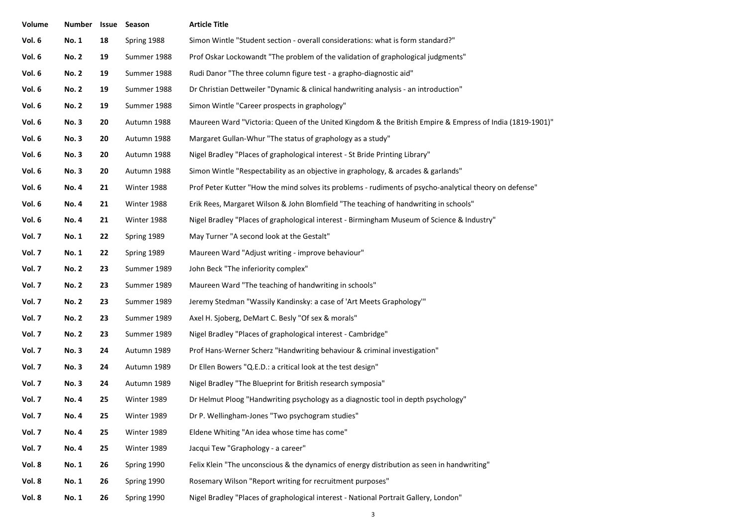| Volume | Number Issue |    | Season      | <b>Article Title</b>                                                                                     |
|--------|--------------|----|-------------|----------------------------------------------------------------------------------------------------------|
| Vol. 6 | <b>No. 1</b> | 18 | Spring 1988 | Simon Wintle "Student section - overall considerations: what is form standard?"                          |
| Vol. 6 | <b>No. 2</b> | 19 | Summer 1988 | Prof Oskar Lockowandt "The problem of the validation of graphological judgments"                         |
| Vol. 6 | <b>No. 2</b> | 19 | Summer 1988 | Rudi Danor "The three column figure test - a grapho-diagnostic aid"                                      |
| Vol. 6 | <b>No. 2</b> | 19 | Summer 1988 | Dr Christian Dettweiler "Dynamic & clinical handwriting analysis - an introduction"                      |
| Vol. 6 | <b>No. 2</b> | 19 | Summer 1988 | Simon Wintle "Career prospects in graphology"                                                            |
| Vol. 6 | <b>No.3</b>  | 20 | Autumn 1988 | Maureen Ward "Victoria: Queen of the United Kingdom & the British Empire & Empress of India (1819-1901)" |
| Vol. 6 | <b>No.3</b>  | 20 | Autumn 1988 | Margaret Gullan-Whur "The status of graphology as a study"                                               |
| Vol. 6 | <b>No.3</b>  | 20 | Autumn 1988 | Nigel Bradley "Places of graphological interest - St Bride Printing Library"                             |
| Vol. 6 | <b>No.3</b>  | 20 | Autumn 1988 | Simon Wintle "Respectability as an objective in graphology, & arcades & garlands"                        |
| Vol. 6 | <b>No. 4</b> | 21 | Winter 1988 | Prof Peter Kutter "How the mind solves its problems - rudiments of psycho-analytical theory on defense"  |
| Vol. 6 | <b>No. 4</b> | 21 | Winter 1988 | Erik Rees, Margaret Wilson & John Blomfield "The teaching of handwriting in schools"                     |
| Vol. 6 | <b>No. 4</b> | 21 | Winter 1988 | Nigel Bradley "Places of graphological interest - Birmingham Museum of Science & Industry"               |
| Vol. 7 | <b>No. 1</b> | 22 | Spring 1989 | May Turner "A second look at the Gestalt"                                                                |
| Vol. 7 | <b>No. 1</b> | 22 | Spring 1989 | Maureen Ward "Adjust writing - improve behaviour"                                                        |
| Vol. 7 | <b>No. 2</b> | 23 | Summer 1989 | John Beck "The inferiority complex"                                                                      |
| Vol. 7 | <b>No. 2</b> | 23 | Summer 1989 | Maureen Ward "The teaching of handwriting in schools"                                                    |
| Vol. 7 | <b>No. 2</b> | 23 | Summer 1989 | Jeremy Stedman "Wassily Kandinsky: a case of 'Art Meets Graphology'"                                     |
| Vol. 7 | <b>No. 2</b> | 23 | Summer 1989 | Axel H. Sjoberg, DeMart C. Besly "Of sex & morals"                                                       |
| Vol. 7 | <b>No. 2</b> | 23 | Summer 1989 | Nigel Bradley "Places of graphological interest - Cambridge"                                             |
| Vol. 7 | <b>No.3</b>  | 24 | Autumn 1989 | Prof Hans-Werner Scherz "Handwriting behaviour & criminal investigation"                                 |
| Vol. 7 | <b>No.3</b>  | 24 | Autumn 1989 | Dr Ellen Bowers "Q.E.D.: a critical look at the test design"                                             |
| Vol. 7 | <b>No.3</b>  | 24 | Autumn 1989 | Nigel Bradley "The Blueprint for British research symposia"                                              |
| Vol. 7 | <b>No. 4</b> | 25 | Winter 1989 | Dr Helmut Ploog "Handwriting psychology as a diagnostic tool in depth psychology"                        |
| Vol. 7 | <b>No.4</b>  | 25 | Winter 1989 | Dr P. Wellingham-Jones "Two psychogram studies"                                                          |
| Vol. 7 | <b>No. 4</b> | 25 | Winter 1989 | Eldene Whiting "An idea whose time has come"                                                             |
| Vol. 7 | <b>No. 4</b> | 25 | Winter 1989 | Jacqui Tew "Graphology - a career"                                                                       |
| Vol. 8 | <b>No. 1</b> | 26 | Spring 1990 | Felix Klein "The unconscious & the dynamics of energy distribution as seen in handwriting"               |
| Vol. 8 | <b>No. 1</b> | 26 | Spring 1990 | Rosemary Wilson "Report writing for recruitment purposes"                                                |
| Vol. 8 | <b>No. 1</b> | 26 | Spring 1990 | Nigel Bradley "Places of graphological interest - National Portrait Gallery, London"                     |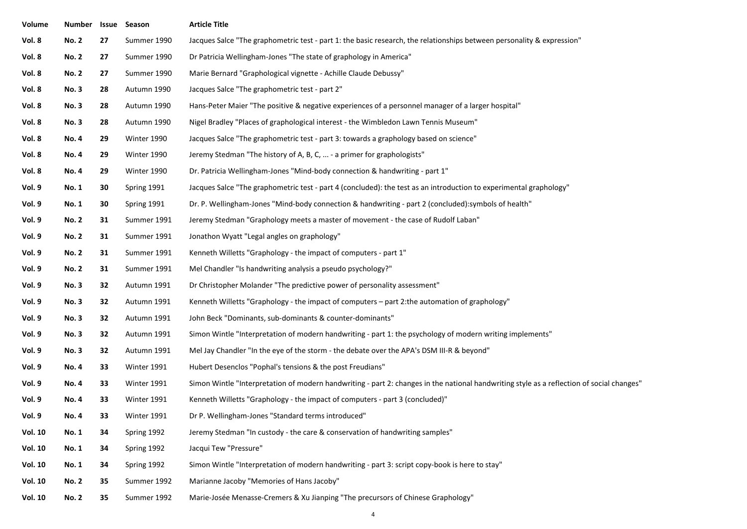| Volume         | <b>Number</b> | Issue | Season      | <b>Article Title</b>                                                                                                                      |  |
|----------------|---------------|-------|-------------|-------------------------------------------------------------------------------------------------------------------------------------------|--|
| Vol. 8         | <b>No. 2</b>  | 27    | Summer 1990 | Jacques Salce "The graphometric test - part 1: the basic research, the relationships between personality & expression"                    |  |
| Vol. 8         | <b>No. 2</b>  | 27    | Summer 1990 | Dr Patricia Wellingham-Jones "The state of graphology in America"                                                                         |  |
| Vol. 8         | <b>No. 2</b>  | 27    | Summer 1990 | Marie Bernard "Graphological vignette - Achille Claude Debussy"                                                                           |  |
| Vol. 8         | <b>No.3</b>   | 28    | Autumn 1990 | Jacques Salce "The graphometric test - part 2"                                                                                            |  |
| Vol. 8         | <b>No.3</b>   | 28    | Autumn 1990 | Hans-Peter Maier "The positive & negative experiences of a personnel manager of a larger hospital"                                        |  |
| Vol. 8         | <b>No.3</b>   | 28    | Autumn 1990 | Nigel Bradley "Places of graphological interest - the Wimbledon Lawn Tennis Museum"                                                       |  |
| Vol. 8         | <b>No. 4</b>  | 29    | Winter 1990 | Jacques Salce "The graphometric test - part 3: towards a graphology based on science"                                                     |  |
| Vol. 8         | <b>No. 4</b>  | 29    | Winter 1990 | Jeremy Stedman "The history of A, B, C,  - a primer for graphologists"                                                                    |  |
| Vol. 8         | <b>No. 4</b>  | 29    | Winter 1990 | Dr. Patricia Wellingham-Jones "Mind-body connection & handwriting - part 1"                                                               |  |
| Vol. 9         | <b>No. 1</b>  | 30    | Spring 1991 | Jacques Salce "The graphometric test - part 4 (concluded): the test as an introduction to experimental graphology"                        |  |
| Vol. 9         | <b>No. 1</b>  | 30    | Spring 1991 | Dr. P. Wellingham-Jones "Mind-body connection & handwriting - part 2 (concluded):symbols of health"                                       |  |
| Vol. 9         | <b>No. 2</b>  | 31    | Summer 1991 | Jeremy Stedman "Graphology meets a master of movement - the case of Rudolf Laban"                                                         |  |
| Vol. 9         | <b>No. 2</b>  | 31    | Summer 1991 | Jonathon Wyatt "Legal angles on graphology"                                                                                               |  |
| Vol. 9         | <b>No. 2</b>  | 31    | Summer 1991 | Kenneth Willetts "Graphology - the impact of computers - part 1"                                                                          |  |
| Vol. 9         | <b>No. 2</b>  | 31    | Summer 1991 | Mel Chandler "Is handwriting analysis a pseudo psychology?"                                                                               |  |
| Vol. 9         | <b>No.3</b>   | 32    | Autumn 1991 | Dr Christopher Molander "The predictive power of personality assessment"                                                                  |  |
| Vol. 9         | <b>No.3</b>   | 32    | Autumn 1991 | Kenneth Willetts "Graphology - the impact of computers - part 2: the automation of graphology"                                            |  |
| Vol. 9         | <b>No.3</b>   | 32    | Autumn 1991 | John Beck "Dominants, sub-dominants & counter-dominants"                                                                                  |  |
| Vol. 9         | <b>No.3</b>   | 32    | Autumn 1991 | Simon Wintle "Interpretation of modern handwriting - part 1: the psychology of modern writing implements"                                 |  |
| Vol. 9         | <b>No.3</b>   | 32    | Autumn 1991 | Mel Jay Chandler "In the eye of the storm - the debate over the APA's DSM III-R & beyond"                                                 |  |
| Vol. 9         | <b>No. 4</b>  | 33    | Winter 1991 | Hubert Desenclos "Pophal's tensions & the post Freudians"                                                                                 |  |
| Vol. 9         | <b>No. 4</b>  | 33    | Winter 1991 | Simon Wintle "Interpretation of modern handwriting - part 2: changes in the national handwriting style as a reflection of social changes" |  |
| Vol. 9         | <b>No. 4</b>  | 33    | Winter 1991 | Kenneth Willetts "Graphology - the impact of computers - part 3 (concluded)"                                                              |  |
| Vol. 9         | No. 4         | 33    | Winter 1991 | Dr P. Wellingham-Jones "Standard terms introduced"                                                                                        |  |
| <b>Vol. 10</b> | <b>No. 1</b>  | 34    | Spring 1992 | Jeremy Stedman "In custody - the care & conservation of handwriting samples"                                                              |  |
| <b>Vol. 10</b> | <b>No. 1</b>  | 34    | Spring 1992 | Jacqui Tew "Pressure"                                                                                                                     |  |
| <b>Vol. 10</b> | <b>No. 1</b>  | 34    | Spring 1992 | Simon Wintle "Interpretation of modern handwriting - part 3: script copy-book is here to stay"                                            |  |
| <b>Vol. 10</b> | <b>No. 2</b>  | 35    | Summer 1992 | Marianne Jacoby "Memories of Hans Jacoby"                                                                                                 |  |
| <b>Vol. 10</b> | <b>No. 2</b>  | 35    | Summer 1992 | Marie-Josée Menasse-Cremers & Xu Jianping "The precursors of Chinese Graphology"                                                          |  |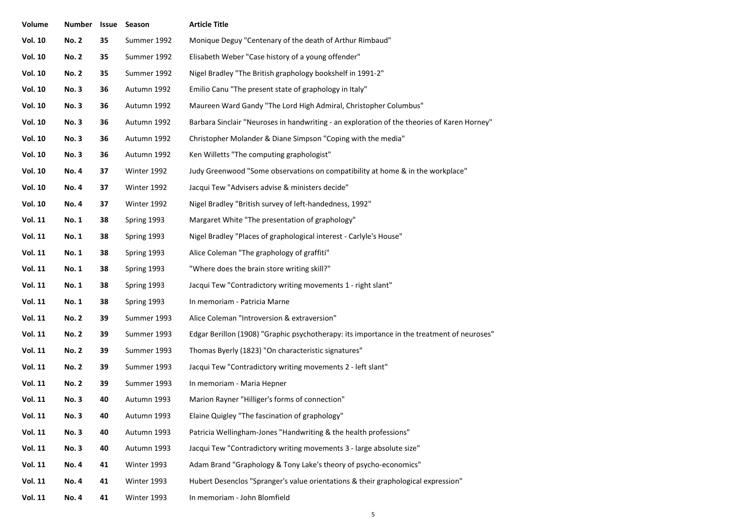| Volume         | <b>Number</b> | Issue | Season      | <b>Article Title</b>                                                                        |
|----------------|---------------|-------|-------------|---------------------------------------------------------------------------------------------|
| <b>Vol. 10</b> | <b>No. 2</b>  | 35    | Summer 1992 | Monique Deguy "Centenary of the death of Arthur Rimbaud"                                    |
| <b>Vol. 10</b> | <b>No. 2</b>  | 35    | Summer 1992 | Elisabeth Weber "Case history of a young offender"                                          |
| <b>Vol. 10</b> | <b>No. 2</b>  | 35    | Summer 1992 | Nigel Bradley "The British graphology bookshelf in 1991-2"                                  |
| <b>Vol. 10</b> | <b>No.3</b>   | 36    | Autumn 1992 | Emilio Canu "The present state of graphology in Italy"                                      |
| <b>Vol. 10</b> | <b>No.3</b>   | 36    | Autumn 1992 | Maureen Ward Gandy "The Lord High Admiral, Christopher Columbus"                            |
| <b>Vol. 10</b> | <b>No.3</b>   | 36    | Autumn 1992 | Barbara Sinclair "Neuroses in handwriting - an exploration of the theories of Karen Horney" |
| <b>Vol. 10</b> | <b>No.3</b>   | 36    | Autumn 1992 | Christopher Molander & Diane Simpson "Coping with the media"                                |
| <b>Vol. 10</b> | <b>No.3</b>   | 36    | Autumn 1992 | Ken Willetts "The computing graphologist"                                                   |
| <b>Vol. 10</b> | <b>No.4</b>   | 37    | Winter 1992 | Judy Greenwood "Some observations on compatibility at home & in the workplace"              |
| <b>Vol. 10</b> | <b>No.4</b>   | 37    | Winter 1992 | Jacqui Tew "Advisers advise & ministers decide"                                             |
| <b>Vol. 10</b> | <b>No.4</b>   | 37    | Winter 1992 | Nigel Bradley "British survey of left-handedness, 1992"                                     |
| <b>Vol. 11</b> | <b>No. 1</b>  | 38    | Spring 1993 | Margaret White "The presentation of graphology"                                             |
| <b>Vol. 11</b> | <b>No. 1</b>  | 38    | Spring 1993 | Nigel Bradley "Places of graphological interest - Carlyle's House"                          |
| <b>Vol. 11</b> | <b>No. 1</b>  | 38    | Spring 1993 | Alice Coleman "The graphology of graffiti"                                                  |
| <b>Vol. 11</b> | No. 1         | 38    | Spring 1993 | "Where does the brain store writing skill?"                                                 |
| <b>Vol. 11</b> | <b>No. 1</b>  | 38    | Spring 1993 | Jacqui Tew "Contradictory writing movements 1 - right slant"                                |
| <b>Vol. 11</b> | No. 1         | 38    | Spring 1993 | In memoriam - Patricia Marne                                                                |
| <b>Vol. 11</b> | <b>No. 2</b>  | 39    | Summer 1993 | Alice Coleman "Introversion & extraversion"                                                 |
| <b>Vol. 11</b> | <b>No. 2</b>  | 39    | Summer 1993 | Edgar Berillon (1908) "Graphic psychotherapy: its importance in the treatment of neuroses"  |
| <b>Vol. 11</b> | <b>No. 2</b>  | 39    | Summer 1993 | Thomas Byerly (1823) "On characteristic signatures"                                         |
| <b>Vol. 11</b> | <b>No. 2</b>  | 39    | Summer 1993 | Jacqui Tew "Contradictory writing movements 2 - left slant"                                 |
| <b>Vol. 11</b> | <b>No. 2</b>  | 39    | Summer 1993 | In memoriam - Maria Hepner                                                                  |
| <b>Vol. 11</b> | <b>No.3</b>   | 40    | Autumn 1993 | Marion Rayner "Hilliger's forms of connection"                                              |
| Vol. 11        | <b>No.3</b>   | 40    | Autumn 1993 | Elaine Quigley "The fascination of graphology"                                              |
| <b>Vol. 11</b> | <b>No.3</b>   | 40    | Autumn 1993 | Patricia Wellingham-Jones "Handwriting & the health professions"                            |
| <b>Vol. 11</b> | <b>No.3</b>   | 40    | Autumn 1993 | Jacqui Tew "Contradictory writing movements 3 - large absolute size"                        |
| <b>Vol. 11</b> | <b>No.4</b>   | 41    | Winter 1993 | Adam Brand "Graphology & Tony Lake's theory of psycho-economics"                            |
| <b>Vol. 11</b> | <b>No. 4</b>  | 41    | Winter 1993 | Hubert Desenclos "Spranger's value orientations & their graphological expression"           |
| <b>Vol. 11</b> | <b>No. 4</b>  | 41    | Winter 1993 | In memoriam - John Blomfield                                                                |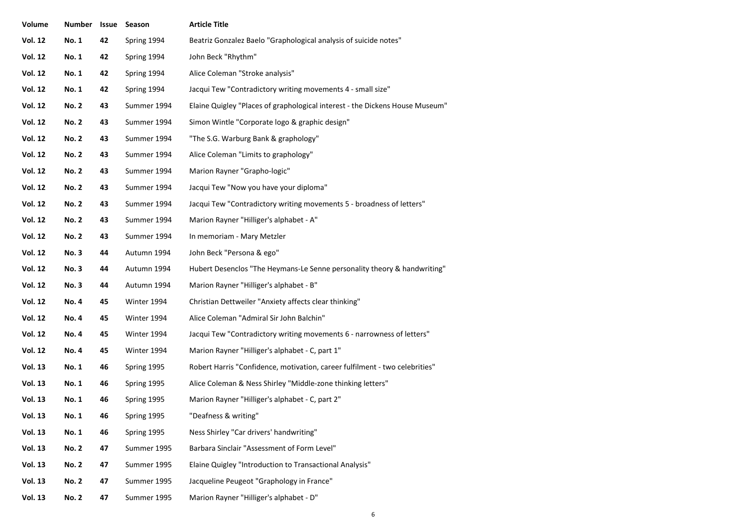| Volume         | Number Issue |    | Season      | <b>Article Title</b>                                                         |
|----------------|--------------|----|-------------|------------------------------------------------------------------------------|
| <b>Vol. 12</b> | <b>No. 1</b> | 42 | Spring 1994 | Beatriz Gonzalez Baelo "Graphological analysis of suicide notes"             |
| <b>Vol. 12</b> | <b>No. 1</b> | 42 | Spring 1994 | John Beck "Rhythm"                                                           |
| <b>Vol. 12</b> | No. 1        | 42 | Spring 1994 | Alice Coleman "Stroke analysis"                                              |
| <b>Vol. 12</b> | <b>No. 1</b> | 42 | Spring 1994 | Jacqui Tew "Contradictory writing movements 4 - small size"                  |
| <b>Vol. 12</b> | <b>No. 2</b> | 43 | Summer 1994 | Elaine Quigley "Places of graphological interest - the Dickens House Museum" |
| <b>Vol. 12</b> | <b>No. 2</b> | 43 | Summer 1994 | Simon Wintle "Corporate logo & graphic design"                               |
| <b>Vol. 12</b> | <b>No. 2</b> | 43 | Summer 1994 | "The S.G. Warburg Bank & graphology"                                         |
| <b>Vol. 12</b> | <b>No. 2</b> | 43 | Summer 1994 | Alice Coleman "Limits to graphology"                                         |
| <b>Vol. 12</b> | <b>No. 2</b> | 43 | Summer 1994 | Marion Rayner "Grapho-logic"                                                 |
| <b>Vol. 12</b> | <b>No. 2</b> | 43 | Summer 1994 | Jacqui Tew "Now you have your diploma"                                       |
| <b>Vol. 12</b> | <b>No. 2</b> | 43 | Summer 1994 | Jacqui Tew "Contradictory writing movements 5 - broadness of letters"        |
| <b>Vol. 12</b> | <b>No. 2</b> | 43 | Summer 1994 | Marion Rayner "Hilliger's alphabet - A"                                      |
| <b>Vol. 12</b> | <b>No. 2</b> | 43 | Summer 1994 | In memoriam - Mary Metzler                                                   |
| <b>Vol. 12</b> | <b>No.3</b>  | 44 | Autumn 1994 | John Beck "Persona & ego"                                                    |
| <b>Vol. 12</b> | <b>No.3</b>  | 44 | Autumn 1994 | Hubert Desenclos "The Heymans-Le Senne personality theory & handwriting"     |
| <b>Vol. 12</b> | <b>No.3</b>  | 44 | Autumn 1994 | Marion Rayner "Hilliger's alphabet - B"                                      |
| <b>Vol. 12</b> | <b>No. 4</b> | 45 | Winter 1994 | Christian Dettweiler "Anxiety affects clear thinking"                        |
| <b>Vol. 12</b> | <b>No. 4</b> | 45 | Winter 1994 | Alice Coleman "Admiral Sir John Balchin"                                     |
| <b>Vol. 12</b> | <b>No. 4</b> | 45 | Winter 1994 | Jacqui Tew "Contradictory writing movements 6 - narrowness of letters"       |
| <b>Vol. 12</b> | <b>No. 4</b> | 45 | Winter 1994 | Marion Rayner "Hilliger's alphabet - C, part 1"                              |
| <b>Vol. 13</b> | <b>No. 1</b> | 46 | Spring 1995 | Robert Harris "Confidence, motivation, career fulfilment - two celebrities"  |
| <b>Vol. 13</b> | <b>No. 1</b> | 46 | Spring 1995 | Alice Coleman & Ness Shirley "Middle-zone thinking letters"                  |
| <b>Vol. 13</b> | <b>No. 1</b> | 46 | Spring 1995 | Marion Rayner "Hilliger's alphabet - C, part 2"                              |
| <b>Vol. 13</b> | <b>No. 1</b> | 46 | Spring 1995 | "Deafness & writing"                                                         |
| <b>Vol. 13</b> | No. 1        | 46 | Spring 1995 | Ness Shirley "Car drivers' handwriting"                                      |
| <b>Vol. 13</b> | <b>No. 2</b> | 47 | Summer 1995 | Barbara Sinclair "Assessment of Form Level"                                  |
| <b>Vol. 13</b> | <b>No. 2</b> | 47 | Summer 1995 | Elaine Quigley "Introduction to Transactional Analysis"                      |
| <b>Vol. 13</b> | <b>No. 2</b> | 47 | Summer 1995 | Jacqueline Peugeot "Graphology in France"                                    |
| <b>Vol. 13</b> | <b>No. 2</b> | 47 | Summer 1995 | Marion Rayner "Hilliger's alphabet - D"                                      |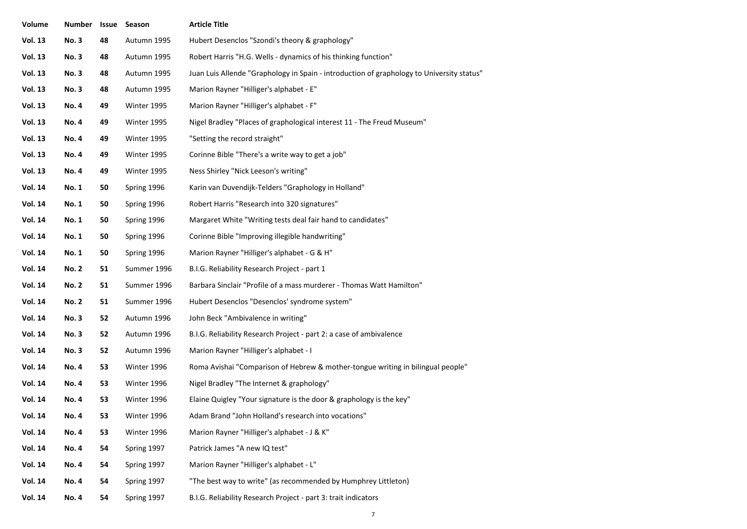| Volume         | <b>Number</b> | Issue | Season      | <b>Article Title</b>                                                                      |
|----------------|---------------|-------|-------------|-------------------------------------------------------------------------------------------|
| <b>Vol. 13</b> | <b>No.3</b>   | 48    | Autumn 1995 | Hubert Desenclos "Szondi's theory & graphology"                                           |
| <b>Vol. 13</b> | <b>No.3</b>   | 48    | Autumn 1995 | Robert Harris "H.G. Wells - dynamics of his thinking function"                            |
| <b>Vol. 13</b> | <b>No.3</b>   | 48    | Autumn 1995 | Juan Luis Allende "Graphology in Spain - introduction of graphology to University status" |
| <b>Vol. 13</b> | <b>No.3</b>   | 48    | Autumn 1995 | Marion Rayner "Hilliger's alphabet - E"                                                   |
| <b>Vol. 13</b> | <b>No. 4</b>  | 49    | Winter 1995 | Marion Rayner "Hilliger's alphabet - F"                                                   |
| <b>Vol. 13</b> | <b>No. 4</b>  | 49    | Winter 1995 | Nigel Bradley "Places of graphological interest 11 - The Freud Museum"                    |
| <b>Vol. 13</b> | <b>No. 4</b>  | 49    | Winter 1995 | "Setting the record straight"                                                             |
| <b>Vol. 13</b> | <b>No. 4</b>  | 49    | Winter 1995 | Corinne Bible "There's a write way to get a job"                                          |
| <b>Vol. 13</b> | <b>No. 4</b>  | 49    | Winter 1995 | Ness Shirley "Nick Leeson's writing"                                                      |
| <b>Vol. 14</b> | No. 1         | 50    | Spring 1996 | Karin van Duvendijk-Telders "Graphology in Holland"                                       |
| <b>Vol. 14</b> | <b>No. 1</b>  | 50    | Spring 1996 | Robert Harris "Research into 320 signatures"                                              |
| <b>Vol. 14</b> | No. 1         | 50    | Spring 1996 | Margaret White "Writing tests deal fair hand to candidates"                               |
| <b>Vol. 14</b> | No. 1         | 50    | Spring 1996 | Corinne Bible "Improving illegible handwriting"                                           |
| <b>Vol. 14</b> | No. 1         | 50    | Spring 1996 | Marion Rayner "Hilliger's alphabet - G & H"                                               |
| <b>Vol. 14</b> | <b>No. 2</b>  | 51    | Summer 1996 | B.I.G. Reliability Research Project - part 1                                              |
| <b>Vol. 14</b> | <b>No. 2</b>  | 51    | Summer 1996 | Barbara Sinclair "Profile of a mass murderer - Thomas Watt Hamilton"                      |
| <b>Vol. 14</b> | <b>No. 2</b>  | 51    | Summer 1996 | Hubert Desenclos "Desenclos' syndrome system"                                             |
| <b>Vol. 14</b> | <b>No.3</b>   | 52    | Autumn 1996 | John Beck "Ambivalence in writing"                                                        |
| <b>Vol. 14</b> | <b>No.3</b>   | 52    | Autumn 1996 | B.I.G. Reliability Research Project - part 2: a case of ambivalence                       |
| <b>Vol. 14</b> | <b>No.3</b>   | 52    | Autumn 1996 | Marion Rayner "Hilliger's alphabet - I                                                    |
| <b>Vol. 14</b> | No. 4         | 53    | Winter 1996 | Roma Avishai "Comparison of Hebrew & mother-tongue writing in bilingual people"           |
| <b>Vol. 14</b> | <b>No. 4</b>  | 53    | Winter 1996 | Nigel Bradley "The Internet & graphology"                                                 |
| <b>Vol. 14</b> | <b>No.4</b>   | 53    | Winter 1996 | Elaine Quigley "Your signature is the door & graphology is the key"                       |
| <b>Vol. 14</b> | No. 4         | 53    | Winter 1996 | Adam Brand "John Holland's research into vocations"                                       |
| <b>Vol. 14</b> | <b>No.4</b>   | 53    | Winter 1996 | Marion Rayner "Hilliger's alphabet - J & K"                                               |
| <b>Vol. 14</b> | <b>No. 4</b>  | 54    | Spring 1997 | Patrick James "A new IQ test"                                                             |
| <b>Vol. 14</b> | <b>No. 4</b>  | 54    | Spring 1997 | Marion Rayner "Hilliger's alphabet - L"                                                   |
| <b>Vol. 14</b> | <b>No. 4</b>  | 54    | Spring 1997 | "The best way to write" (as recommended by Humphrey Littleton)                            |
| <b>Vol. 14</b> | <b>No.4</b>   | 54    | Spring 1997 | B.I.G. Reliability Research Project - part 3: trait indicators                            |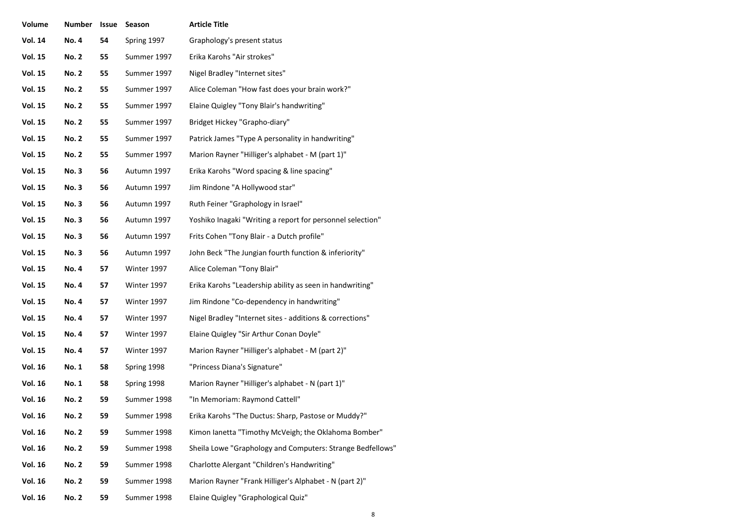| Volume         | Number       | Issue | Season      | <b>Article Title</b>                                       |
|----------------|--------------|-------|-------------|------------------------------------------------------------|
| <b>Vol. 14</b> | <b>No. 4</b> | 54    | Spring 1997 | Graphology's present status                                |
| <b>Vol. 15</b> | <b>No. 2</b> | 55    | Summer 1997 | Erika Karohs "Air strokes"                                 |
| <b>Vol. 15</b> | <b>No. 2</b> | 55    | Summer 1997 | Nigel Bradley "Internet sites"                             |
| <b>Vol. 15</b> | <b>No. 2</b> | 55    | Summer 1997 | Alice Coleman "How fast does your brain work?"             |
| <b>Vol. 15</b> | <b>No. 2</b> | 55    | Summer 1997 | Elaine Quigley "Tony Blair's handwriting"                  |
| <b>Vol. 15</b> | <b>No. 2</b> | 55    | Summer 1997 | Bridget Hickey "Grapho-diary"                              |
| <b>Vol. 15</b> | <b>No. 2</b> | 55    | Summer 1997 | Patrick James "Type A personality in handwriting"          |
| <b>Vol. 15</b> | <b>No. 2</b> | 55    | Summer 1997 | Marion Rayner "Hilliger's alphabet - M (part 1)"           |
| <b>Vol. 15</b> | <b>No.3</b>  | 56    | Autumn 1997 | Erika Karohs "Word spacing & line spacing"                 |
| <b>Vol. 15</b> | <b>No.3</b>  | 56    | Autumn 1997 | Jim Rindone "A Hollywood star"                             |
| <b>Vol. 15</b> | <b>No.3</b>  | 56    | Autumn 1997 | Ruth Feiner "Graphology in Israel"                         |
| <b>Vol. 15</b> | <b>No.3</b>  | 56    | Autumn 1997 | Yoshiko Inagaki "Writing a report for personnel selection" |
| <b>Vol. 15</b> | No. 3        | 56    | Autumn 1997 | Frits Cohen "Tony Blair - a Dutch profile"                 |
| <b>Vol. 15</b> | <b>No.3</b>  | 56    | Autumn 1997 | John Beck "The Jungian fourth function & inferiority"      |
| <b>Vol. 15</b> | <b>No. 4</b> | 57    | Winter 1997 | Alice Coleman "Tony Blair"                                 |
| <b>Vol. 15</b> | <b>No.4</b>  | 57    | Winter 1997 | Erika Karohs "Leadership ability as seen in handwriting"   |
| <b>Vol. 15</b> | <b>No. 4</b> | 57    | Winter 1997 | Jim Rindone "Co-dependency in handwriting"                 |
| <b>Vol. 15</b> | <b>No. 4</b> | 57    | Winter 1997 | Nigel Bradley "Internet sites - additions & corrections"   |
| <b>Vol. 15</b> | <b>No. 4</b> | 57    | Winter 1997 | Elaine Quigley "Sir Arthur Conan Doyle"                    |
| <b>Vol. 15</b> | <b>No. 4</b> | 57    | Winter 1997 | Marion Rayner "Hilliger's alphabet - M (part 2)"           |
| <b>Vol. 16</b> | <b>No. 1</b> | 58    | Spring 1998 | "Princess Diana's Signature"                               |
| <b>Vol. 16</b> | <b>No. 1</b> | 58    | Spring 1998 | Marion Rayner "Hilliger's alphabet - N (part 1)"           |
| <b>Vol. 16</b> | <b>No. 2</b> | 59    | Summer 1998 | "In Memoriam: Raymond Cattell"                             |
| <b>Vol. 16</b> | <b>No. 2</b> | 59    | Summer 1998 | Erika Karohs "The Ductus: Sharp, Pastose or Muddy?"        |
| <b>Vol. 16</b> | <b>No. 2</b> | 59    | Summer 1998 | Kimon lanetta "Timothy McVeigh; the Oklahoma Bomber"       |
| <b>Vol. 16</b> | <b>No. 2</b> | 59    | Summer 1998 | Sheila Lowe "Graphology and Computers: Strange Bedfellows" |
| <b>Vol. 16</b> | <b>No. 2</b> | 59    | Summer 1998 | Charlotte Alergant "Children's Handwriting"                |
| <b>Vol. 16</b> | <b>No. 2</b> | 59    | Summer 1998 | Marion Rayner "Frank Hilliger's Alphabet - N (part 2)"     |
| <b>Vol. 16</b> | No. 2        | 59    | Summer 1998 | Elaine Quigley "Graphological Quiz"                        |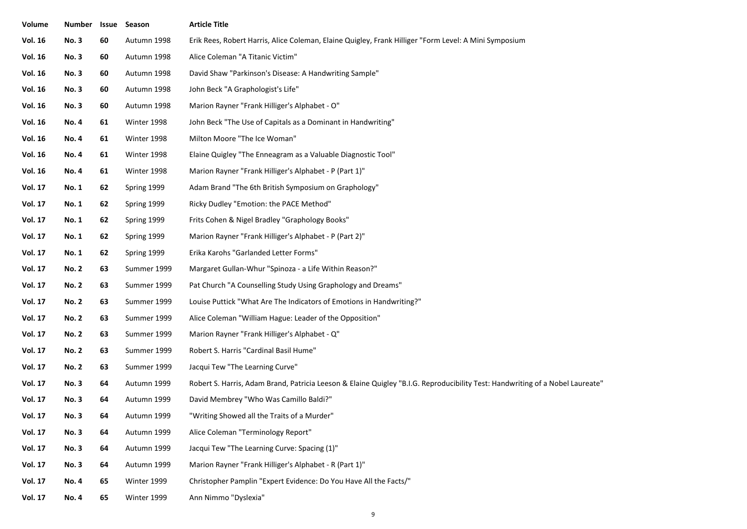| Volume         | Number Issue Season |    |             | <b>Article Title</b>                                                                                                          |  |
|----------------|---------------------|----|-------------|-------------------------------------------------------------------------------------------------------------------------------|--|
| <b>Vol. 16</b> | <b>No.3</b>         | 60 | Autumn 1998 | Erik Rees, Robert Harris, Alice Coleman, Elaine Quigley, Frank Hilliger "Form Level: A Mini Symposium                         |  |
| <b>Vol. 16</b> | <b>No. 3</b>        | 60 | Autumn 1998 | Alice Coleman "A Titanic Victim"                                                                                              |  |
| <b>Vol. 16</b> | <b>No.3</b>         | 60 | Autumn 1998 | David Shaw "Parkinson's Disease: A Handwriting Sample"                                                                        |  |
| <b>Vol. 16</b> | <b>No.3</b>         | 60 | Autumn 1998 | John Beck "A Graphologist's Life"                                                                                             |  |
| <b>Vol. 16</b> | <b>No.3</b>         | 60 | Autumn 1998 | Marion Rayner "Frank Hilliger's Alphabet - O"                                                                                 |  |
| <b>Vol. 16</b> | No. 4               | 61 | Winter 1998 | John Beck "The Use of Capitals as a Dominant in Handwriting"                                                                  |  |
| <b>Vol. 16</b> | No. 4               | 61 | Winter 1998 | Milton Moore "The Ice Woman"                                                                                                  |  |
| <b>Vol. 16</b> | No. 4               | 61 | Winter 1998 | Elaine Quigley "The Enneagram as a Valuable Diagnostic Tool"                                                                  |  |
| <b>Vol. 16</b> | No. 4               | 61 | Winter 1998 | Marion Rayner "Frank Hilliger's Alphabet - P (Part 1)"                                                                        |  |
| <b>Vol. 17</b> | No. 1               | 62 | Spring 1999 | Adam Brand "The 6th British Symposium on Graphology"                                                                          |  |
| <b>Vol. 17</b> | No. 1               | 62 | Spring 1999 | Ricky Dudley "Emotion: the PACE Method"                                                                                       |  |
| <b>Vol. 17</b> | No. 1               | 62 | Spring 1999 | Frits Cohen & Nigel Bradley "Graphology Books"                                                                                |  |
| <b>Vol. 17</b> | No. 1               | 62 | Spring 1999 | Marion Rayner "Frank Hilliger's Alphabet - P (Part 2)"                                                                        |  |
| <b>Vol. 17</b> | No. 1               | 62 | Spring 1999 | Erika Karohs "Garlanded Letter Forms"                                                                                         |  |
| <b>Vol. 17</b> | <b>No. 2</b>        | 63 | Summer 1999 | Margaret Gullan-Whur "Spinoza - a Life Within Reason?"                                                                        |  |
| <b>Vol. 17</b> | <b>No. 2</b>        | 63 | Summer 1999 | Pat Church "A Counselling Study Using Graphology and Dreams"                                                                  |  |
| <b>Vol. 17</b> | <b>No. 2</b>        | 63 | Summer 1999 | Louise Puttick "What Are The Indicators of Emotions in Handwriting?"                                                          |  |
| <b>Vol. 17</b> | <b>No. 2</b>        | 63 | Summer 1999 | Alice Coleman "William Hague: Leader of the Opposition"                                                                       |  |
| <b>Vol. 17</b> | <b>No. 2</b>        | 63 | Summer 1999 | Marion Rayner "Frank Hilliger's Alphabet - Q"                                                                                 |  |
| <b>Vol. 17</b> | <b>No. 2</b>        | 63 | Summer 1999 | Robert S. Harris "Cardinal Basil Hume"                                                                                        |  |
| <b>Vol. 17</b> | <b>No. 2</b>        | 63 | Summer 1999 | Jacqui Tew "The Learning Curve"                                                                                               |  |
| <b>Vol. 17</b> | <b>No.3</b>         | 64 | Autumn 1999 | Robert S. Harris, Adam Brand, Patricia Leeson & Elaine Quigley "B.I.G. Reproducibility Test: Handwriting of a Nobel Laureate" |  |
| <b>Vol. 17</b> | <b>No.3</b>         | 64 | Autumn 1999 | David Membrey "Who Was Camillo Baldi?"                                                                                        |  |
| <b>Vol. 17</b> | <b>No.3</b>         | 64 | Autumn 1999 | "Writing Showed all the Traits of a Murder"                                                                                   |  |
| <b>Vol. 17</b> | <b>No.3</b>         | 64 | Autumn 1999 | Alice Coleman "Terminology Report"                                                                                            |  |
| <b>Vol. 17</b> | <b>No.3</b>         | 64 | Autumn 1999 | Jacqui Tew "The Learning Curve: Spacing (1)"                                                                                  |  |
| <b>Vol. 17</b> | <b>No.3</b>         | 64 | Autumn 1999 | Marion Rayner "Frank Hilliger's Alphabet - R (Part 1)"                                                                        |  |
| <b>Vol. 17</b> | <b>No. 4</b>        | 65 | Winter 1999 | Christopher Pamplin "Expert Evidence: Do You Have All the Facts/"                                                             |  |
| <b>Vol. 17</b> | <b>No. 4</b>        | 65 | Winter 1999 | Ann Nimmo "Dyslexia"                                                                                                          |  |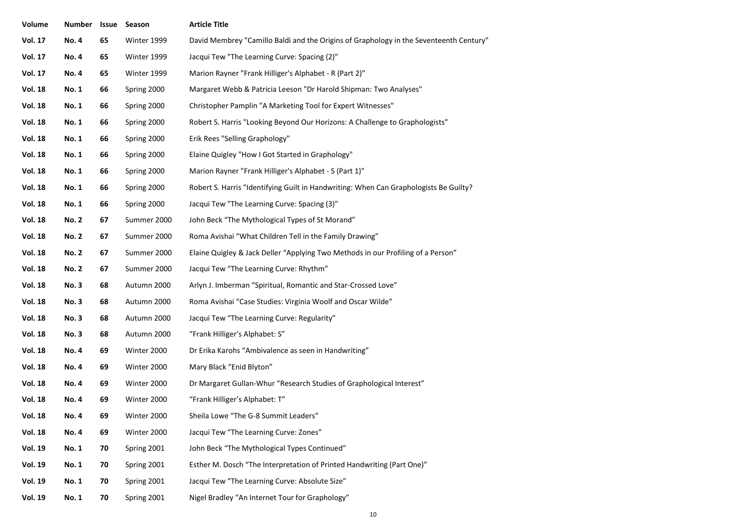| Volume         | <b>Number</b> | Issue | Season      | <b>Article Title</b>                                                                   |
|----------------|---------------|-------|-------------|----------------------------------------------------------------------------------------|
| <b>Vol. 17</b> | <b>No.4</b>   | 65    | Winter 1999 | David Membrey "Camillo Baldi and the Origins of Graphology in the Seventeenth Century" |
| <b>Vol. 17</b> | <b>No.4</b>   | 65    | Winter 1999 | Jacqui Tew "The Learning Curve: Spacing (2)"                                           |
| <b>Vol. 17</b> | <b>No. 4</b>  | 65    | Winter 1999 | Marion Rayner "Frank Hilliger's Alphabet - R (Part 2)"                                 |
| <b>Vol. 18</b> | <b>No. 1</b>  | 66    | Spring 2000 | Margaret Webb & Patricia Leeson "Dr Harold Shipman: Two Analyses"                      |
| <b>Vol. 18</b> | <b>No. 1</b>  | 66    | Spring 2000 | Christopher Pamplin "A Marketing Tool for Expert Witnesses"                            |
| <b>Vol. 18</b> | <b>No. 1</b>  | 66    | Spring 2000 | Robert S. Harris "Looking Beyond Our Horizons: A Challenge to Graphologists"           |
| <b>Vol. 18</b> | <b>No. 1</b>  | 66    | Spring 2000 | Erik Rees "Selling Graphology"                                                         |
| <b>Vol. 18</b> | <b>No. 1</b>  | 66    | Spring 2000 | Elaine Quigley "How I Got Started in Graphology"                                       |
| <b>Vol. 18</b> | <b>No. 1</b>  | 66    | Spring 2000 | Marion Rayner "Frank Hilliger's Alphabet - S (Part 1)"                                 |
| <b>Vol. 18</b> | <b>No. 1</b>  | 66    | Spring 2000 | Robert S. Harris "Identifying Guilt in Handwriting: When Can Graphologists Be Guilty?  |
| <b>Vol. 18</b> | <b>No. 1</b>  | 66    | Spring 2000 | Jacqui Tew "The Learning Curve: Spacing (3)"                                           |
| <b>Vol. 18</b> | <b>No. 2</b>  | 67    | Summer 2000 | John Beck "The Mythological Types of St Morand"                                        |
| <b>Vol. 18</b> | <b>No. 2</b>  | 67    | Summer 2000 | Roma Avishai "What Children Tell in the Family Drawing"                                |
| <b>Vol. 18</b> | <b>No. 2</b>  | 67    | Summer 2000 | Elaine Quigley & Jack Deller "Applying Two Methods in our Profiling of a Person"       |
| <b>Vol. 18</b> | <b>No. 2</b>  | 67    | Summer 2000 | Jacqui Tew "The Learning Curve: Rhythm"                                                |
| <b>Vol. 18</b> | <b>No.3</b>   | 68    | Autumn 2000 | Arlyn J. Imberman "Spiritual, Romantic and Star-Crossed Love"                          |
| <b>Vol. 18</b> | <b>No.3</b>   | 68    | Autumn 2000 | Roma Avishai "Case Studies: Virginia Woolf and Oscar Wilde"                            |
| <b>Vol. 18</b> | <b>No.3</b>   | 68    | Autumn 2000 | Jacqui Tew "The Learning Curve: Regularity"                                            |
| <b>Vol. 18</b> | <b>No.3</b>   | 68    | Autumn 2000 | "Frank Hilliger's Alphabet: S"                                                         |
| <b>Vol. 18</b> | <b>No. 4</b>  | 69    | Winter 2000 | Dr Erika Karohs "Ambivalence as seen in Handwriting"                                   |
| <b>Vol. 18</b> | <b>No. 4</b>  | 69    | Winter 2000 | Mary Black "Enid Blyton"                                                               |
| <b>Vol. 18</b> | <b>No.4</b>   | 69    | Winter 2000 | Dr Margaret Gullan-Whur "Research Studies of Graphological Interest"                   |
| <b>Vol. 18</b> | <b>No. 4</b>  | 69    | Winter 2000 | "Frank Hilliger's Alphabet: T"                                                         |
| <b>Vol. 18</b> | No. 4         | 69    | Winter 2000 | Sheila Lowe "The G-8 Summit Leaders"                                                   |
| <b>Vol. 18</b> | <b>No. 4</b>  | 69    | Winter 2000 | Jacqui Tew "The Learning Curve: Zones"                                                 |
| <b>Vol. 19</b> | No. 1         | 70    | Spring 2001 | John Beck "The Mythological Types Continued"                                           |
| <b>Vol. 19</b> | No. 1         | 70    | Spring 2001 | Esther M. Dosch "The Interpretation of Printed Handwriting (Part One)"                 |
| <b>Vol. 19</b> | No. 1         | 70    | Spring 2001 | Jacqui Tew "The Learning Curve: Absolute Size"                                         |
| <b>Vol. 19</b> | No. 1         | 70    | Spring 2001 | Nigel Bradley "An Internet Tour for Graphology"                                        |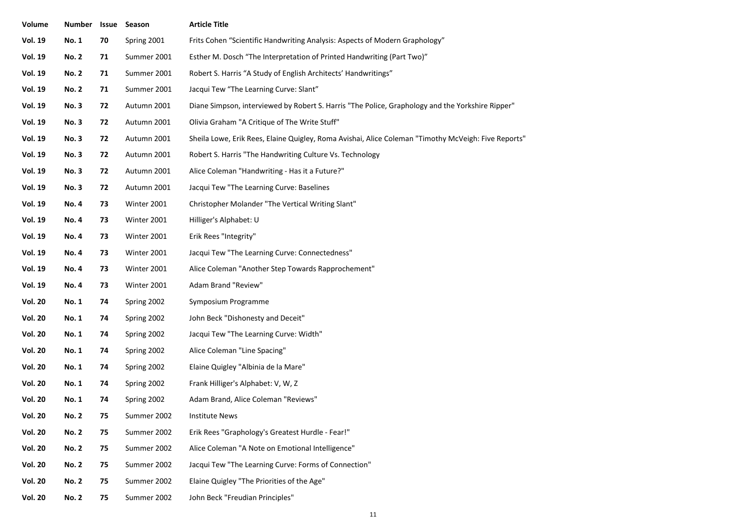| Volume         | Number       | Issue | Season      | <b>Article Title</b>                                                                                |  |
|----------------|--------------|-------|-------------|-----------------------------------------------------------------------------------------------------|--|
| <b>Vol. 19</b> | <b>No. 1</b> | 70    | Spring 2001 | Frits Cohen "Scientific Handwriting Analysis: Aspects of Modern Graphology"                         |  |
| <b>Vol. 19</b> | <b>No. 2</b> | 71    | Summer 2001 | Esther M. Dosch "The Interpretation of Printed Handwriting (Part Two)"                              |  |
| <b>Vol. 19</b> | <b>No. 2</b> | 71    | Summer 2001 | Robert S. Harris "A Study of English Architects' Handwritings"                                      |  |
| <b>Vol. 19</b> | <b>No. 2</b> | 71    | Summer 2001 | Jacqui Tew "The Learning Curve: Slant"                                                              |  |
| <b>Vol. 19</b> | <b>No.3</b>  | 72    | Autumn 2001 | Diane Simpson, interviewed by Robert S. Harris "The Police, Graphology and the Yorkshire Ripper"    |  |
| <b>Vol. 19</b> | <b>No.3</b>  | 72    | Autumn 2001 | Olivia Graham "A Critique of The Write Stuff"                                                       |  |
| <b>Vol. 19</b> | <b>No.3</b>  | 72    | Autumn 2001 | Sheila Lowe, Erik Rees, Elaine Quigley, Roma Avishai, Alice Coleman "Timothy McVeigh: Five Reports" |  |
| <b>Vol. 19</b> | <b>No.3</b>  | 72    | Autumn 2001 | Robert S. Harris "The Handwriting Culture Vs. Technology                                            |  |
| <b>Vol. 19</b> | <b>No.3</b>  | 72    | Autumn 2001 | Alice Coleman "Handwriting - Has it a Future?"                                                      |  |
| <b>Vol. 19</b> | <b>No.3</b>  | 72    | Autumn 2001 | Jacqui Tew "The Learning Curve: Baselines                                                           |  |
| <b>Vol. 19</b> | <b>No. 4</b> | 73    | Winter 2001 | Christopher Molander "The Vertical Writing Slant"                                                   |  |
| <b>Vol. 19</b> | <b>No. 4</b> | 73    | Winter 2001 | Hilliger's Alphabet: U                                                                              |  |
| <b>Vol. 19</b> | No. 4        | 73    | Winter 2001 | Erik Rees "Integrity"                                                                               |  |
| <b>Vol. 19</b> | <b>No. 4</b> | 73    | Winter 2001 | Jacqui Tew "The Learning Curve: Connectedness"                                                      |  |
| <b>Vol. 19</b> | No. 4        | 73    | Winter 2001 | Alice Coleman "Another Step Towards Rapprochement"                                                  |  |
| <b>Vol. 19</b> | <b>No. 4</b> | 73    | Winter 2001 | Adam Brand "Review"                                                                                 |  |
| <b>Vol. 20</b> | <b>No. 1</b> | 74    | Spring 2002 | Symposium Programme                                                                                 |  |
| <b>Vol. 20</b> | <b>No. 1</b> | 74    | Spring 2002 | John Beck "Dishonesty and Deceit"                                                                   |  |
| <b>Vol. 20</b> | <b>No. 1</b> | 74    | Spring 2002 | Jacqui Tew "The Learning Curve: Width"                                                              |  |
| <b>Vol. 20</b> | <b>No. 1</b> | 74    | Spring 2002 | Alice Coleman "Line Spacing"                                                                        |  |
| <b>Vol. 20</b> | <b>No. 1</b> | 74    | Spring 2002 | Elaine Quigley "Albinia de la Mare"                                                                 |  |
| <b>Vol. 20</b> | No. 1        | 74    | Spring 2002 | Frank Hilliger's Alphabet: V, W, Z                                                                  |  |
| <b>Vol. 20</b> | <b>No. 1</b> | 74    | Spring 2002 | Adam Brand, Alice Coleman "Reviews"                                                                 |  |
| <b>Vol. 20</b> | <b>No. 2</b> | 75    | Summer 2002 | Institute News                                                                                      |  |
| <b>Vol. 20</b> | <b>No. 2</b> | 75    | Summer 2002 | Erik Rees "Graphology's Greatest Hurdle - Fear!"                                                    |  |
| <b>Vol. 20</b> | <b>No. 2</b> | 75    | Summer 2002 | Alice Coleman "A Note on Emotional Intelligence"                                                    |  |
| <b>Vol. 20</b> | <b>No. 2</b> | 75    | Summer 2002 | Jacqui Tew "The Learning Curve: Forms of Connection"                                                |  |
| <b>Vol. 20</b> | <b>No. 2</b> | 75    | Summer 2002 | Elaine Quigley "The Priorities of the Age"                                                          |  |
| <b>Vol. 20</b> | <b>No. 2</b> | 75    | Summer 2002 | John Beck "Freudian Principles"                                                                     |  |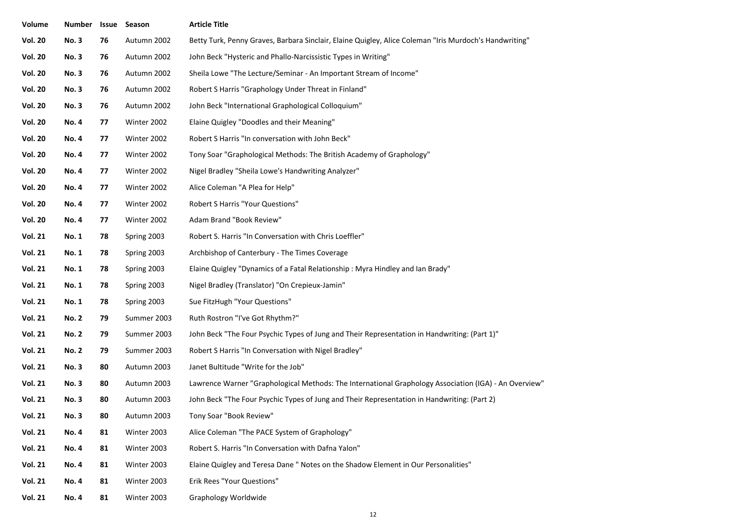| Volume         | <b>Number</b> |    | <b>Issue Season</b> | <b>Article Title</b>                                                                                   |  |
|----------------|---------------|----|---------------------|--------------------------------------------------------------------------------------------------------|--|
| <b>Vol. 20</b> | <b>No.3</b>   | 76 | Autumn 2002         | Betty Turk, Penny Graves, Barbara Sinclair, Elaine Quigley, Alice Coleman "Iris Murdoch's Handwriting" |  |
| <b>Vol. 20</b> | <b>No.3</b>   | 76 | Autumn 2002         | John Beck "Hysteric and Phallo-Narcissistic Types in Writing"                                          |  |
| <b>Vol. 20</b> | <b>No.3</b>   | 76 | Autumn 2002         | Sheila Lowe "The Lecture/Seminar - An Important Stream of Income"                                      |  |
| <b>Vol. 20</b> | <b>No.3</b>   | 76 | Autumn 2002         | Robert S Harris "Graphology Under Threat in Finland"                                                   |  |
| <b>Vol. 20</b> | <b>No.3</b>   | 76 | Autumn 2002         | John Beck "International Graphological Colloquium"                                                     |  |
| <b>Vol. 20</b> | <b>No. 4</b>  | 77 | Winter 2002         | Elaine Quigley "Doodles and their Meaning"                                                             |  |
| <b>Vol. 20</b> | <b>No. 4</b>  | 77 | Winter 2002         | Robert S Harris "In conversation with John Beck"                                                       |  |
| <b>Vol. 20</b> | <b>No. 4</b>  | 77 | Winter 2002         | Tony Soar "Graphological Methods: The British Academy of Graphology"                                   |  |
| <b>Vol. 20</b> | <b>No. 4</b>  | 77 | Winter 2002         | Nigel Bradley "Sheila Lowe's Handwriting Analyzer"                                                     |  |
| <b>Vol. 20</b> | <b>No. 4</b>  | 77 | Winter 2002         | Alice Coleman "A Plea for Help"                                                                        |  |
| <b>Vol. 20</b> | No. 4         | 77 | Winter 2002         | Robert S Harris "Your Questions"                                                                       |  |
| <b>Vol. 20</b> | <b>No. 4</b>  | 77 | Winter 2002         | Adam Brand "Book Review"                                                                               |  |
| <b>Vol. 21</b> | <b>No. 1</b>  | 78 | Spring 2003         | Robert S. Harris "In Conversation with Chris Loeffler"                                                 |  |
| <b>Vol. 21</b> | <b>No. 1</b>  | 78 | Spring 2003         | Archbishop of Canterbury - The Times Coverage                                                          |  |
| <b>Vol. 21</b> | <b>No. 1</b>  | 78 | Spring 2003         | Elaine Quigley "Dynamics of a Fatal Relationship: Myra Hindley and Ian Brady"                          |  |
| <b>Vol. 21</b> | <b>No. 1</b>  | 78 | Spring 2003         | Nigel Bradley (Translator) "On Crepieux-Jamin"                                                         |  |
| <b>Vol. 21</b> | <b>No. 1</b>  | 78 | Spring 2003         | Sue FitzHugh "Your Questions"                                                                          |  |
| <b>Vol. 21</b> | <b>No. 2</b>  | 79 | Summer 2003         | Ruth Rostron "I've Got Rhythm?"                                                                        |  |
| <b>Vol. 21</b> | <b>No. 2</b>  | 79 | Summer 2003         | John Beck "The Four Psychic Types of Jung and Their Representation in Handwriting: (Part 1)"           |  |
| <b>Vol. 21</b> | <b>No. 2</b>  | 79 | Summer 2003         | Robert S Harris "In Conversation with Nigel Bradley"                                                   |  |
| <b>Vol. 21</b> | <b>No.3</b>   | 80 | Autumn 2003         | Janet Bultitude "Write for the Job"                                                                    |  |
| <b>Vol. 21</b> | <b>No.3</b>   | 80 | Autumn 2003         | Lawrence Warner "Graphological Methods: The International Graphology Association (IGA) - An Overview"  |  |
| <b>Vol. 21</b> | <b>No.3</b>   | 80 | Autumn 2003         | John Beck "The Four Psychic Types of Jung and Their Representation in Handwriting: (Part 2)            |  |
| <b>Vol. 21</b> | <b>No. 3</b>  | 80 | Autumn 2003         | Tony Soar "Book Review"                                                                                |  |
| <b>Vol. 21</b> | <b>No. 4</b>  | 81 | Winter 2003         | Alice Coleman "The PACE System of Graphology"                                                          |  |
| <b>Vol. 21</b> | <b>No. 4</b>  | 81 | Winter 2003         | Robert S. Harris "In Conversation with Dafna Yalon"                                                    |  |
| <b>Vol. 21</b> | No. 4         | 81 | Winter 2003         | Elaine Quigley and Teresa Dane " Notes on the Shadow Element in Our Personalities"                     |  |
| <b>Vol. 21</b> | <b>No. 4</b>  | 81 | Winter 2003         | Erik Rees "Your Questions"                                                                             |  |
| <b>Vol. 21</b> | <b>No. 4</b>  | 81 | Winter 2003         | Graphology Worldwide                                                                                   |  |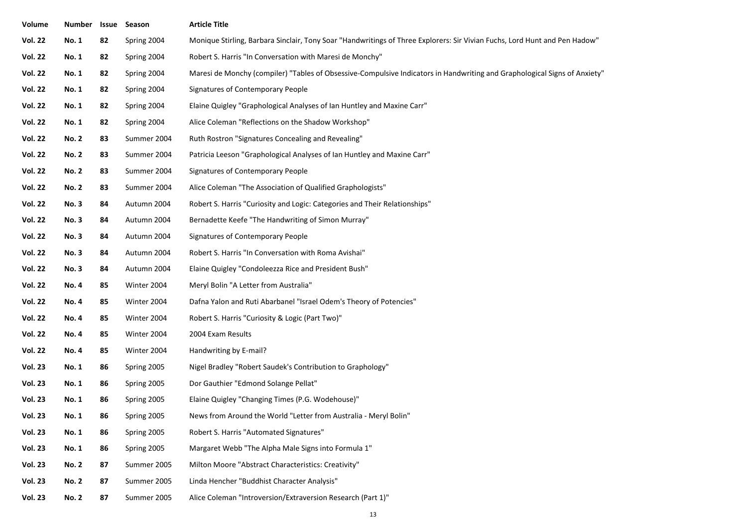| Volume         | Number       | Issue | Season      | <b>Article Title</b>                                                                                                       |
|----------------|--------------|-------|-------------|----------------------------------------------------------------------------------------------------------------------------|
| <b>Vol. 22</b> | <b>No. 1</b> | 82    | Spring 2004 | Monique Stirling, Barbara Sinclair, Tony Soar "Handwritings of Three Explorers: Sir Vivian Fuchs, Lord Hunt and Pen Hadow" |
| <b>Vol. 22</b> | <b>No. 1</b> | 82    | Spring 2004 | Robert S. Harris "In Conversation with Maresi de Monchy"                                                                   |
| <b>Vol. 22</b> | <b>No. 1</b> | 82    | Spring 2004 | Maresi de Monchy (compiler) "Tables of Obsessive-Compulsive Indicators in Handwriting and Graphological Signs of Anxiety"  |
| <b>Vol. 22</b> | <b>No. 1</b> | 82    | Spring 2004 | Signatures of Contemporary People                                                                                          |
| <b>Vol. 22</b> | <b>No. 1</b> | 82    | Spring 2004 | Elaine Quigley "Graphological Analyses of Ian Huntley and Maxine Carr"                                                     |
| <b>Vol. 22</b> | <b>No. 1</b> | 82    | Spring 2004 | Alice Coleman "Reflections on the Shadow Workshop"                                                                         |
| <b>Vol. 22</b> | <b>No. 2</b> | 83    | Summer 2004 | Ruth Rostron "Signatures Concealing and Revealing"                                                                         |
| <b>Vol. 22</b> | <b>No. 2</b> | 83    | Summer 2004 | Patricia Leeson "Graphological Analyses of Ian Huntley and Maxine Carr"                                                    |
| <b>Vol. 22</b> | <b>No. 2</b> | 83    | Summer 2004 | Signatures of Contemporary People                                                                                          |
| <b>Vol. 22</b> | <b>No. 2</b> | 83    | Summer 2004 | Alice Coleman "The Association of Qualified Graphologists"                                                                 |
| <b>Vol. 22</b> | <b>No.3</b>  | 84    | Autumn 2004 | Robert S. Harris "Curiosity and Logic: Categories and Their Relationships"                                                 |
| <b>Vol. 22</b> | <b>No.3</b>  | 84    | Autumn 2004 | Bernadette Keefe "The Handwriting of Simon Murray"                                                                         |
| <b>Vol. 22</b> | <b>No.3</b>  | 84    | Autumn 2004 | Signatures of Contemporary People                                                                                          |
| <b>Vol. 22</b> | <b>No.3</b>  | 84    | Autumn 2004 | Robert S. Harris "In Conversation with Roma Avishai"                                                                       |
| <b>Vol. 22</b> | <b>No.3</b>  | 84    | Autumn 2004 | Elaine Quigley "Condoleezza Rice and President Bush"                                                                       |
| <b>Vol. 22</b> | <b>No. 4</b> | 85    | Winter 2004 | Meryl Bolin "A Letter from Australia"                                                                                      |
| <b>Vol. 22</b> | <b>No. 4</b> | 85    | Winter 2004 | Dafna Yalon and Ruti Abarbanel "Israel Odem's Theory of Potencies"                                                         |
| <b>Vol. 22</b> | <b>No. 4</b> | 85    | Winter 2004 | Robert S. Harris "Curiosity & Logic (Part Two)"                                                                            |
| <b>Vol. 22</b> | <b>No. 4</b> | 85    | Winter 2004 | 2004 Exam Results                                                                                                          |
| <b>Vol. 22</b> | <b>No. 4</b> | 85    | Winter 2004 | Handwriting by E-mail?                                                                                                     |
| <b>Vol. 23</b> | <b>No. 1</b> | 86    | Spring 2005 | Nigel Bradley "Robert Saudek's Contribution to Graphology"                                                                 |
| <b>Vol. 23</b> | <b>No. 1</b> | 86    | Spring 2005 | Dor Gauthier "Edmond Solange Pellat"                                                                                       |
| <b>Vol. 23</b> | <b>No. 1</b> | 86    | Spring 2005 | Elaine Quigley "Changing Times (P.G. Wodehouse)"                                                                           |
| <b>Vol. 23</b> | No. 1        | 86    | Spring 2005 | News from Around the World "Letter from Australia - Meryl Bolin"                                                           |
| <b>Vol. 23</b> | <b>No. 1</b> | 86    | Spring 2005 | Robert S. Harris "Automated Signatures"                                                                                    |
| <b>Vol. 23</b> | <b>No. 1</b> | 86    | Spring 2005 | Margaret Webb "The Alpha Male Signs into Formula 1"                                                                        |
| <b>Vol. 23</b> | <b>No. 2</b> | 87    | Summer 2005 | Milton Moore "Abstract Characteristics: Creativity"                                                                        |
| <b>Vol. 23</b> | <b>No. 2</b> | 87    | Summer 2005 | Linda Hencher "Buddhist Character Analysis"                                                                                |
| <b>Vol. 23</b> | <b>No. 2</b> | 87    | Summer 2005 | Alice Coleman "Introversion/Extraversion Research (Part 1)"                                                                |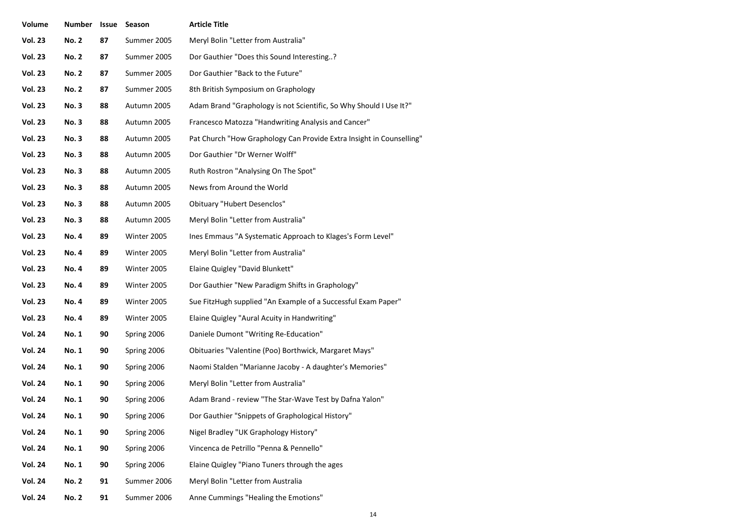| Volume         | <b>Number</b> | Issue | Season      | <b>Article Title</b>                                                 |
|----------------|---------------|-------|-------------|----------------------------------------------------------------------|
| <b>Vol. 23</b> | <b>No. 2</b>  | 87    | Summer 2005 | Meryl Bolin "Letter from Australia"                                  |
| <b>Vol. 23</b> | <b>No. 2</b>  | 87    | Summer 2005 | Dor Gauthier "Does this Sound Interesting?                           |
| <b>Vol. 23</b> | <b>No. 2</b>  | 87    | Summer 2005 | Dor Gauthier "Back to the Future"                                    |
| <b>Vol. 23</b> | <b>No. 2</b>  | 87    | Summer 2005 | 8th British Symposium on Graphology                                  |
| <b>Vol. 23</b> | <b>No.3</b>   | 88    | Autumn 2005 | Adam Brand "Graphology is not Scientific, So Why Should I Use It?"   |
| <b>Vol. 23</b> | <b>No.3</b>   | 88    | Autumn 2005 | Francesco Matozza "Handwriting Analysis and Cancer"                  |
| <b>Vol. 23</b> | <b>No.3</b>   | 88    | Autumn 2005 | Pat Church "How Graphology Can Provide Extra Insight in Counselling" |
| <b>Vol. 23</b> | <b>No.3</b>   | 88    | Autumn 2005 | Dor Gauthier "Dr Werner Wolff"                                       |
| <b>Vol. 23</b> | <b>No.3</b>   | 88    | Autumn 2005 | Ruth Rostron "Analysing On The Spot"                                 |
| <b>Vol. 23</b> | <b>No.3</b>   | 88    | Autumn 2005 | News from Around the World                                           |
| <b>Vol. 23</b> | <b>No.3</b>   | 88    | Autumn 2005 | <b>Obituary "Hubert Desenclos"</b>                                   |
| <b>Vol. 23</b> | <b>No.3</b>   | 88    | Autumn 2005 | Meryl Bolin "Letter from Australia"                                  |
| <b>Vol. 23</b> | <b>No. 4</b>  | 89    | Winter 2005 | Ines Emmaus "A Systematic Approach to Klages's Form Level"           |
| <b>Vol. 23</b> | <b>No. 4</b>  | 89    | Winter 2005 | Meryl Bolin "Letter from Australia"                                  |
| <b>Vol. 23</b> | <b>No. 4</b>  | 89    | Winter 2005 | Elaine Quigley "David Blunkett"                                      |
| <b>Vol. 23</b> | <b>No. 4</b>  | 89    | Winter 2005 | Dor Gauthier "New Paradigm Shifts in Graphology"                     |
| <b>Vol. 23</b> | <b>No.4</b>   | 89    | Winter 2005 | Sue FitzHugh supplied "An Example of a Successful Exam Paper"        |
| <b>Vol. 23</b> | <b>No. 4</b>  | 89    | Winter 2005 | Elaine Quigley "Aural Acuity in Handwriting"                         |
| <b>Vol. 24</b> | <b>No. 1</b>  | 90    | Spring 2006 | Daniele Dumont "Writing Re-Education"                                |
| <b>Vol. 24</b> | No. 1         | 90    | Spring 2006 | Obituaries "Valentine (Poo) Borthwick, Margaret Mays"                |
| <b>Vol. 24</b> | No. 1         | 90    | Spring 2006 | Naomi Stalden "Marianne Jacoby - A daughter's Memories"              |
| <b>Vol. 24</b> | No. 1         | 90    | Spring 2006 | Meryl Bolin "Letter from Australia"                                  |
| <b>Vol. 24</b> | No. 1         | 90    | Spring 2006 | Adam Brand - review "The Star-Wave Test by Dafna Yalon"              |
| <b>Vol. 24</b> | No. 1         | 90    | Spring 2006 | Dor Gauthier "Snippets of Graphological History"                     |
| <b>Vol. 24</b> | No. 1         | 90    | Spring 2006 | Nigel Bradley "UK Graphology History"                                |
| <b>Vol. 24</b> | No. 1         | 90    | Spring 2006 | Vincenca de Petrillo "Penna & Pennello"                              |
| <b>Vol. 24</b> | <b>No. 1</b>  | 90    | Spring 2006 | Elaine Quigley "Piano Tuners through the ages                        |
| <b>Vol. 24</b> | <b>No. 2</b>  | 91    | Summer 2006 | Meryl Bolin "Letter from Australia                                   |
| <b>Vol. 24</b> | <b>No. 2</b>  | 91    | Summer 2006 | Anne Cummings "Healing the Emotions"                                 |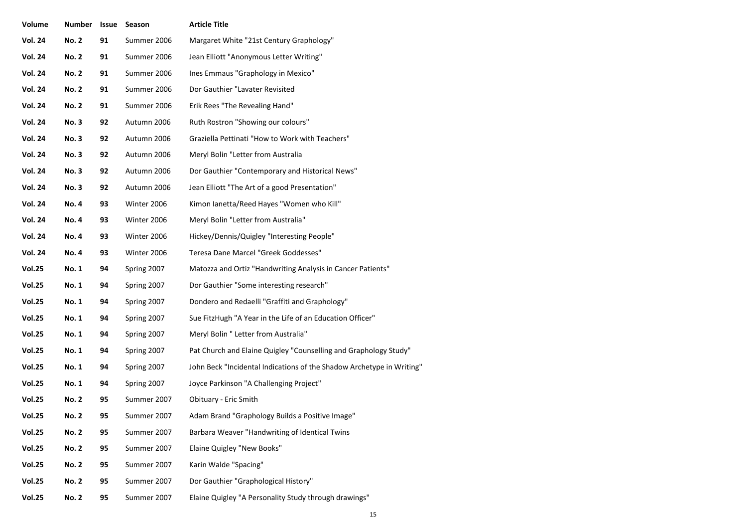| Volume         | <b>Number</b> | Issue | Season      | <b>Article Title</b>                                                  |
|----------------|---------------|-------|-------------|-----------------------------------------------------------------------|
| <b>Vol. 24</b> | <b>No. 2</b>  | 91    | Summer 2006 | Margaret White "21st Century Graphology"                              |
| <b>Vol. 24</b> | <b>No. 2</b>  | 91    | Summer 2006 | Jean Elliott "Anonymous Letter Writing"                               |
| <b>Vol. 24</b> | <b>No. 2</b>  | 91    | Summer 2006 | Ines Emmaus "Graphology in Mexico"                                    |
| <b>Vol. 24</b> | <b>No. 2</b>  | 91    | Summer 2006 | Dor Gauthier "Lavater Revisited                                       |
| <b>Vol. 24</b> | <b>No. 2</b>  | 91    | Summer 2006 | Erik Rees "The Revealing Hand"                                        |
| <b>Vol. 24</b> | <b>No.3</b>   | 92    | Autumn 2006 | Ruth Rostron "Showing our colours"                                    |
| <b>Vol. 24</b> | <b>No.3</b>   | 92    | Autumn 2006 | Graziella Pettinati "How to Work with Teachers"                       |
| <b>Vol. 24</b> | <b>No.3</b>   | 92    | Autumn 2006 | Meryl Bolin "Letter from Australia                                    |
| <b>Vol. 24</b> | <b>No.3</b>   | 92    | Autumn 2006 | Dor Gauthier "Contemporary and Historical News"                       |
| <b>Vol. 24</b> | <b>No.3</b>   | 92    | Autumn 2006 | Jean Elliott "The Art of a good Presentation"                         |
| <b>Vol. 24</b> | <b>No.4</b>   | 93    | Winter 2006 | Kimon lanetta/Reed Hayes "Women who Kill"                             |
| <b>Vol. 24</b> | <b>No.4</b>   | 93    | Winter 2006 | Meryl Bolin "Letter from Australia"                                   |
| <b>Vol. 24</b> | <b>No.4</b>   | 93    | Winter 2006 | Hickey/Dennis/Quigley "Interesting People"                            |
| <b>Vol. 24</b> | <b>No.4</b>   | 93    | Winter 2006 | Teresa Dane Marcel "Greek Goddesses"                                  |
| <b>Vol.25</b>  | No. 1         | 94    | Spring 2007 | Matozza and Ortiz "Handwriting Analysis in Cancer Patients"           |
| <b>Vol.25</b>  | No. 1         | 94    | Spring 2007 | Dor Gauthier "Some interesting research"                              |
| <b>Vol.25</b>  | No. 1         | 94    | Spring 2007 | Dondero and Redaelli "Graffiti and Graphology"                        |
| <b>Vol.25</b>  | No. 1         | 94    | Spring 2007 | Sue FitzHugh "A Year in the Life of an Education Officer"             |
| <b>Vol.25</b>  | No. 1         | 94    | Spring 2007 | Meryl Bolin " Letter from Australia"                                  |
| <b>Vol.25</b>  | No. 1         | 94    | Spring 2007 | Pat Church and Elaine Quigley "Counselling and Graphology Study"      |
| <b>Vol.25</b>  | <b>No. 1</b>  | 94    | Spring 2007 | John Beck "Incidental Indications of the Shadow Archetype in Writing" |
| <b>Vol.25</b>  | <b>No. 1</b>  | 94    | Spring 2007 | Joyce Parkinson "A Challenging Project"                               |
| <b>Vol.25</b>  | <b>No. 2</b>  | 95    | Summer 2007 | Obituary - Eric Smith                                                 |
| <b>Vol.25</b>  | <b>No. 2</b>  | 95    | Summer 2007 | Adam Brand "Graphology Builds a Positive Image"                       |
| <b>Vol.25</b>  | <b>No. 2</b>  | 95    | Summer 2007 | Barbara Weaver "Handwriting of Identical Twins                        |
| <b>Vol.25</b>  | <b>No. 2</b>  | 95    | Summer 2007 | Elaine Quigley "New Books"                                            |
| <b>Vol.25</b>  | <b>No. 2</b>  | 95    | Summer 2007 | Karin Walde "Spacing"                                                 |
| <b>Vol.25</b>  | <b>No. 2</b>  | 95    | Summer 2007 | Dor Gauthier "Graphological History"                                  |
| <b>Vol.25</b>  | <b>No. 2</b>  | 95    | Summer 2007 | Elaine Quigley "A Personality Study through drawings"                 |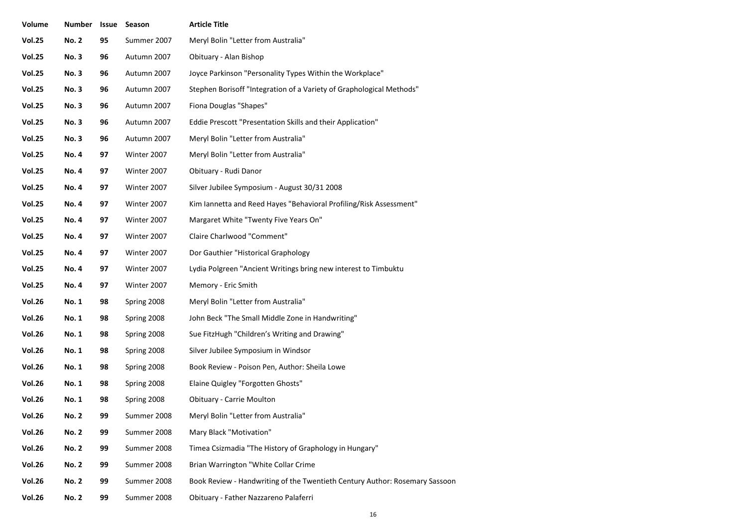| Volume        | Number Issue |    | Season      | <b>Article Title</b>                                                        |
|---------------|--------------|----|-------------|-----------------------------------------------------------------------------|
| <b>Vol.25</b> | <b>No. 2</b> | 95 | Summer 2007 | Meryl Bolin "Letter from Australia"                                         |
| <b>Vol.25</b> | <b>No.3</b>  | 96 | Autumn 2007 | Obituary - Alan Bishop                                                      |
| <b>Vol.25</b> | <b>No.3</b>  | 96 | Autumn 2007 | Joyce Parkinson "Personality Types Within the Workplace"                    |
| <b>Vol.25</b> | <b>No.3</b>  | 96 | Autumn 2007 | Stephen Borisoff "Integration of a Variety of Graphological Methods"        |
| <b>Vol.25</b> | <b>No.3</b>  | 96 | Autumn 2007 | Fiona Douglas "Shapes"                                                      |
| <b>Vol.25</b> | <b>No.3</b>  | 96 | Autumn 2007 | Eddie Prescott "Presentation Skills and their Application"                  |
| <b>Vol.25</b> | <b>No.3</b>  | 96 | Autumn 2007 | Meryl Bolin "Letter from Australia"                                         |
| <b>Vol.25</b> | <b>No. 4</b> | 97 | Winter 2007 | Meryl Bolin "Letter from Australia"                                         |
| <b>Vol.25</b> | <b>No. 4</b> | 97 | Winter 2007 | Obituary - Rudi Danor                                                       |
| <b>Vol.25</b> | <b>No. 4</b> | 97 | Winter 2007 | Silver Jubilee Symposium - August 30/31 2008                                |
| <b>Vol.25</b> | <b>No. 4</b> | 97 | Winter 2007 | Kim Iannetta and Reed Hayes "Behavioral Profiling/Risk Assessment"          |
| <b>Vol.25</b> | <b>No. 4</b> | 97 | Winter 2007 | Margaret White "Twenty Five Years On"                                       |
| <b>Vol.25</b> | <b>No. 4</b> | 97 | Winter 2007 | Claire Charlwood "Comment"                                                  |
| <b>Vol.25</b> | <b>No. 4</b> | 97 | Winter 2007 | Dor Gauthier "Historical Graphology                                         |
| <b>Vol.25</b> | <b>No. 4</b> | 97 | Winter 2007 | Lydia Polgreen "Ancient Writings bring new interest to Timbuktu             |
| <b>Vol.25</b> | <b>No. 4</b> | 97 | Winter 2007 | Memory - Eric Smith                                                         |
| <b>Vol.26</b> | <b>No. 1</b> | 98 | Spring 2008 | Meryl Bolin "Letter from Australia"                                         |
| <b>Vol.26</b> | <b>No. 1</b> | 98 | Spring 2008 | John Beck "The Small Middle Zone in Handwriting"                            |
| <b>Vol.26</b> | <b>No. 1</b> | 98 | Spring 2008 | Sue FitzHugh "Children's Writing and Drawing"                               |
| <b>Vol.26</b> | <b>No. 1</b> | 98 | Spring 2008 | Silver Jubilee Symposium in Windsor                                         |
| <b>Vol.26</b> | <b>No. 1</b> | 98 | Spring 2008 | Book Review - Poison Pen, Author: Sheila Lowe                               |
| <b>Vol.26</b> | <b>No. 1</b> | 98 | Spring 2008 | Elaine Quigley "Forgotten Ghosts"                                           |
| <b>Vol.26</b> | No. 1        | 98 | Spring 2008 | <b>Obituary - Carrie Moulton</b>                                            |
| <b>Vol.26</b> | <b>No. 2</b> | 99 | Summer 2008 | Meryl Bolin "Letter from Australia"                                         |
| <b>Vol.26</b> | <b>No. 2</b> | 99 | Summer 2008 | Mary Black "Motivation"                                                     |
| <b>Vol.26</b> | <b>No. 2</b> | 99 | Summer 2008 | Timea Csizmadia "The History of Graphology in Hungary"                      |
| <b>Vol.26</b> | <b>No. 2</b> | 99 | Summer 2008 | Brian Warrington "White Collar Crime                                        |
| <b>Vol.26</b> | <b>No. 2</b> | 99 | Summer 2008 | Book Review - Handwriting of the Twentieth Century Author: Rosemary Sassoon |
| <b>Vol.26</b> | <b>No. 2</b> | 99 | Summer 2008 | Obituary - Father Nazzareno Palaferri                                       |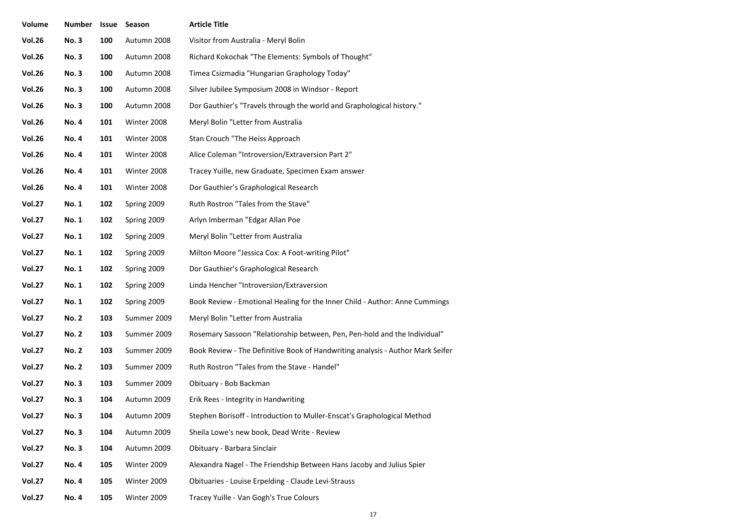| Volume        | Number Issue |     | Season      | <b>Article Title</b>                                                           |
|---------------|--------------|-----|-------------|--------------------------------------------------------------------------------|
| <b>Vol.26</b> | <b>No.3</b>  | 100 | Autumn 2008 | Visitor from Australia - Meryl Bolin                                           |
| <b>Vol.26</b> | <b>No.3</b>  | 100 | Autumn 2008 | Richard Kokochak "The Elements: Symbols of Thought"                            |
| <b>Vol.26</b> | <b>No.3</b>  | 100 | Autumn 2008 | Timea Csizmadia "Hungarian Graphology Today"                                   |
| <b>Vol.26</b> | <b>No.3</b>  | 100 | Autumn 2008 | Silver Jubilee Symposium 2008 in Windsor - Report                              |
| <b>Vol.26</b> | <b>No.3</b>  | 100 | Autumn 2008 | Dor Gauthier's "Travels through the world and Graphological history."          |
| <b>Vol.26</b> | <b>No.4</b>  | 101 | Winter 2008 | Meryl Bolin "Letter from Australia                                             |
| <b>Vol.26</b> | <b>No. 4</b> | 101 | Winter 2008 | Stan Crouch "The Heiss Approach                                                |
| <b>Vol.26</b> | <b>No. 4</b> | 101 | Winter 2008 | Alice Coleman "Introversion/Extraversion Part 2"                               |
| <b>Vol.26</b> | <b>No.4</b>  | 101 | Winter 2008 | Tracey Yuille, new Graduate, Specimen Exam answer                              |
| <b>Vol.26</b> | <b>No.4</b>  | 101 | Winter 2008 | Dor Gauthier's Graphological Research                                          |
| <b>Vol.27</b> | <b>No. 1</b> | 102 | Spring 2009 | Ruth Rostron "Tales from the Stave"                                            |
| <b>Vol.27</b> | <b>No. 1</b> | 102 | Spring 2009 | Arlyn Imberman "Edgar Allan Poe                                                |
| <b>Vol.27</b> | <b>No. 1</b> | 102 | Spring 2009 | Meryl Bolin "Letter from Australia                                             |
| <b>Vol.27</b> | <b>No. 1</b> | 102 | Spring 2009 | Milton Moore "Jessica Cox: A Foot-writing Pilot"                               |
| <b>Vol.27</b> | <b>No. 1</b> | 102 | Spring 2009 | Dor Gauthier's Graphological Research                                          |
| <b>Vol.27</b> | <b>No. 1</b> | 102 | Spring 2009 | Linda Hencher "Introversion/Extraversion                                       |
| <b>Vol.27</b> | <b>No. 1</b> | 102 | Spring 2009 | Book Review - Emotional Healing for the Inner Child - Author: Anne Cummings    |
| <b>Vol.27</b> | <b>No. 2</b> | 103 | Summer 2009 | Meryl Bolin "Letter from Australia                                             |
| <b>Vol.27</b> | <b>No. 2</b> | 103 | Summer 2009 | Rosemary Sassoon "Relationship between, Pen, Pen-hold and the Individual"      |
| <b>Vol.27</b> | <b>No. 2</b> | 103 | Summer 2009 | Book Review - The Definitive Book of Handwriting analysis - Author Mark Seifer |
| <b>Vol.27</b> | <b>No. 2</b> | 103 | Summer 2009 | Ruth Rostron "Tales from the Stave - Handel"                                   |
| <b>Vol.27</b> | <b>No.3</b>  | 103 | Summer 2009 | Obituary - Bob Backman                                                         |
| <b>Vol.27</b> | <b>No.3</b>  | 104 | Autumn 2009 | Erik Rees - Integrity in Handwriting                                           |
| <b>Vol.27</b> | <b>No.3</b>  | 104 | Autumn 2009 | Stephen Borisoff - Introduction to Muller-Enscat's Graphological Method        |
| <b>Vol.27</b> | <b>No.3</b>  | 104 | Autumn 2009 | Sheila Lowe's new book, Dead Write - Review                                    |
| <b>Vol.27</b> | <b>No.3</b>  | 104 | Autumn 2009 | Obituary - Barbara Sinclair                                                    |
| <b>Vol.27</b> | <b>No. 4</b> | 105 | Winter 2009 | Alexandra Nagel - The Friendship Between Hans Jacoby and Julius Spier          |
| <b>Vol.27</b> | <b>No. 4</b> | 105 | Winter 2009 | Obituaries - Louise Erpelding - Claude Levi-Strauss                            |
| <b>Vol.27</b> | <b>No.4</b>  | 105 | Winter 2009 | Tracey Yuille - Van Gogh's True Colours                                        |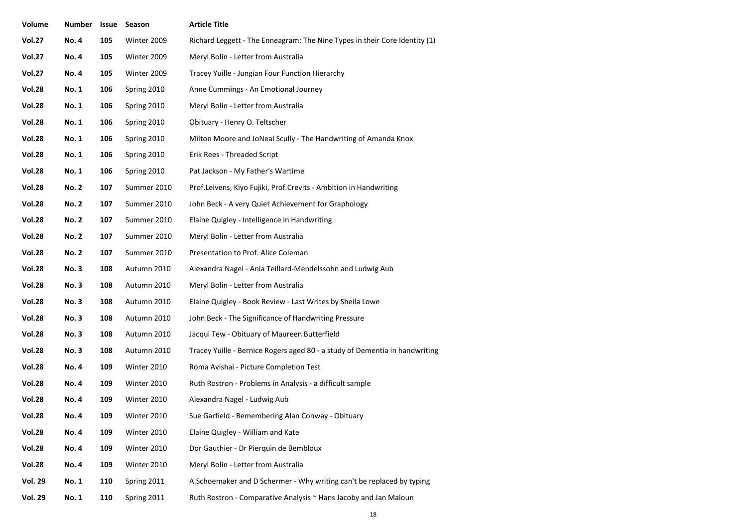| Volume         | Number       | Issue | Season      | <b>Article Title</b>                                                        |
|----------------|--------------|-------|-------------|-----------------------------------------------------------------------------|
| <b>Vol.27</b>  | <b>No.4</b>  | 105   | Winter 2009 | Richard Leggett - The Enneagram: The Nine Types in their Core Identity (1)  |
| <b>Vol.27</b>  | <b>No.4</b>  | 105   | Winter 2009 | Meryl Bolin - Letter from Australia                                         |
| <b>Vol.27</b>  | <b>No.4</b>  | 105   | Winter 2009 | Tracey Yuille - Jungian Four Function Hierarchy                             |
| <b>Vol.28</b>  | <b>No. 1</b> | 106   | Spring 2010 | Anne Cummings - An Emotional Journey                                        |
| <b>Vol.28</b>  | <b>No. 1</b> | 106   | Spring 2010 | Meryl Bolin - Letter from Australia                                         |
| <b>Vol.28</b>  | <b>No. 1</b> | 106   | Spring 2010 | Obituary - Henry O. Teltscher                                               |
| <b>Vol.28</b>  | <b>No. 1</b> | 106   | Spring 2010 | Milton Moore and JoNeal Scully - The Handwriting of Amanda Knox             |
| <b>Vol.28</b>  | <b>No. 1</b> | 106   | Spring 2010 | Erik Rees - Threaded Script                                                 |
| <b>Vol.28</b>  | <b>No. 1</b> | 106   | Spring 2010 | Pat Jackson - My Father's Wartime                                           |
| <b>Vol.28</b>  | <b>No. 2</b> | 107   | Summer 2010 | Prof.Leivens, Kiyo Fujiki, Prof.Crevits - Ambition in Handwriting           |
| <b>Vol.28</b>  | <b>No. 2</b> | 107   | Summer 2010 | John Beck - A very Quiet Achievement for Graphology                         |
| <b>Vol.28</b>  | <b>No. 2</b> | 107   | Summer 2010 | Elaine Quigley - Intelligence in Handwriting                                |
| <b>Vol.28</b>  | <b>No. 2</b> | 107   | Summer 2010 | Meryl Bolin - Letter from Australia                                         |
| <b>Vol.28</b>  | <b>No. 2</b> | 107   | Summer 2010 | Presentation to Prof. Alice Coleman                                         |
| <b>Vol.28</b>  | <b>No.3</b>  | 108   | Autumn 2010 | Alexandra Nagel - Ania Teillard-Mendelssohn and Ludwig Aub                  |
| <b>Vol.28</b>  | <b>No.3</b>  | 108   | Autumn 2010 | Meryl Bolin - Letter from Australia                                         |
| <b>Vol.28</b>  | <b>No.3</b>  | 108   | Autumn 2010 | Elaine Quigley - Book Review - Last Writes by Sheila Lowe                   |
| <b>Vol.28</b>  | <b>No.3</b>  | 108   | Autumn 2010 | John Beck - The Significance of Handwriting Pressure                        |
| <b>Vol.28</b>  | <b>No.3</b>  | 108   | Autumn 2010 | Jacqui Tew - Obituary of Maureen Butterfield                                |
| <b>Vol.28</b>  | <b>No.3</b>  | 108   | Autumn 2010 | Tracey Yuille - Bernice Rogers aged 80 - a study of Dementia in handwriting |
| <b>Vol.28</b>  | <b>No.4</b>  | 109   | Winter 2010 | Roma Avishai - Picture Completion Test                                      |
| <b>Vol.28</b>  | <b>No.4</b>  | 109   | Winter 2010 | Ruth Rostron - Problems in Analysis - a difficult sample                    |
| <b>Vol.28</b>  | <b>No.4</b>  | 109   | Winter 2010 | Alexandra Nagel - Ludwig Aub                                                |
| <b>Vol.28</b>  | <b>No.4</b>  | 109   | Winter 2010 | Sue Garfield - Remembering Alan Conway - Obituary                           |
| <b>Vol.28</b>  | <b>No.4</b>  | 109   | Winter 2010 | Elaine Quigley - William and Kate                                           |
| <b>Vol.28</b>  | <b>No. 4</b> | 109   | Winter 2010 | Dor Gauthier - Dr Pierquin de Bembloux                                      |
| <b>Vol.28</b>  | <b>No.4</b>  | 109   | Winter 2010 | Meryl Bolin - Letter from Australia                                         |
| <b>Vol. 29</b> | <b>No. 1</b> | 110   | Spring 2011 | A.Schoemaker and D Schermer - Why writing can't be replaced by typing       |
| <b>Vol. 29</b> | <b>No. 1</b> | 110   | Spring 2011 | Ruth Rostron - Comparative Analysis ~ Hans Jacoby and Jan Maloun            |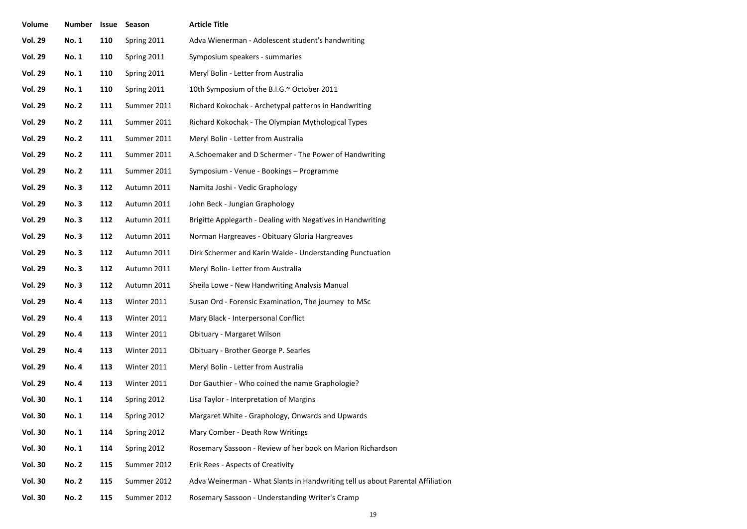| Volume         | Number Issue |     | Season      | <b>Article Title</b>                                                           |
|----------------|--------------|-----|-------------|--------------------------------------------------------------------------------|
| <b>Vol. 29</b> | No. 1        | 110 | Spring 2011 | Adva Wienerman - Adolescent student's handwriting                              |
| <b>Vol. 29</b> | <b>No. 1</b> | 110 | Spring 2011 | Symposium speakers - summaries                                                 |
| <b>Vol. 29</b> | <b>No. 1</b> | 110 | Spring 2011 | Meryl Bolin - Letter from Australia                                            |
| <b>Vol. 29</b> | <b>No. 1</b> | 110 | Spring 2011 | 10th Symposium of the B.I.G.~ October 2011                                     |
| <b>Vol. 29</b> | <b>No. 2</b> | 111 | Summer 2011 | Richard Kokochak - Archetypal patterns in Handwriting                          |
| <b>Vol. 29</b> | <b>No. 2</b> | 111 | Summer 2011 | Richard Kokochak - The Olympian Mythological Types                             |
| <b>Vol. 29</b> | <b>No. 2</b> | 111 | Summer 2011 | Meryl Bolin - Letter from Australia                                            |
| <b>Vol. 29</b> | <b>No. 2</b> | 111 | Summer 2011 | A.Schoemaker and D Schermer - The Power of Handwriting                         |
| <b>Vol. 29</b> | <b>No. 2</b> | 111 | Summer 2011 | Symposium - Venue - Bookings - Programme                                       |
| <b>Vol. 29</b> | <b>No.3</b>  | 112 | Autumn 2011 | Namita Joshi - Vedic Graphology                                                |
| <b>Vol. 29</b> | <b>No.3</b>  | 112 | Autumn 2011 | John Beck - Jungian Graphology                                                 |
| <b>Vol. 29</b> | <b>No.3</b>  | 112 | Autumn 2011 | Brigitte Applegarth - Dealing with Negatives in Handwriting                    |
| <b>Vol. 29</b> | <b>No.3</b>  | 112 | Autumn 2011 | Norman Hargreaves - Obituary Gloria Hargreaves                                 |
| <b>Vol. 29</b> | <b>No.3</b>  | 112 | Autumn 2011 | Dirk Schermer and Karin Walde - Understanding Punctuation                      |
| <b>Vol. 29</b> | <b>No.3</b>  | 112 | Autumn 2011 | Meryl Bolin- Letter from Australia                                             |
| <b>Vol. 29</b> | <b>No.3</b>  | 112 | Autumn 2011 | Sheila Lowe - New Handwriting Analysis Manual                                  |
| <b>Vol. 29</b> | <b>No.4</b>  | 113 | Winter 2011 | Susan Ord - Forensic Examination, The journey to MSc                           |
| <b>Vol. 29</b> | <b>No.4</b>  | 113 | Winter 2011 | Mary Black - Interpersonal Conflict                                            |
| <b>Vol. 29</b> | <b>No. 4</b> | 113 | Winter 2011 | Obituary - Margaret Wilson                                                     |
| <b>Vol. 29</b> | <b>No.4</b>  | 113 | Winter 2011 | Obituary - Brother George P. Searles                                           |
| <b>Vol. 29</b> | <b>No.4</b>  | 113 | Winter 2011 | Meryl Bolin - Letter from Australia                                            |
| <b>Vol. 29</b> | <b>No.4</b>  | 113 | Winter 2011 | Dor Gauthier - Who coined the name Graphologie?                                |
| <b>Vol. 30</b> | <b>No. 1</b> | 114 | Spring 2012 | Lisa Taylor - Interpretation of Margins                                        |
| <b>Vol. 30</b> | No. 1        | 114 | Spring 2012 | Margaret White - Graphology, Onwards and Upwards                               |
| <b>Vol. 30</b> | <b>No. 1</b> | 114 | Spring 2012 | Mary Comber - Death Row Writings                                               |
| <b>Vol. 30</b> | <b>No. 1</b> | 114 | Spring 2012 | Rosemary Sassoon - Review of her book on Marion Richardson                     |
| <b>Vol. 30</b> | <b>No. 2</b> | 115 | Summer 2012 | Erik Rees - Aspects of Creativity                                              |
| <b>Vol. 30</b> | <b>No. 2</b> | 115 | Summer 2012 | Adva Weinerman - What Slants in Handwriting tell us about Parental Affiliation |
| <b>Vol. 30</b> | <b>No. 2</b> | 115 | Summer 2012 | Rosemary Sassoon - Understanding Writer's Cramp                                |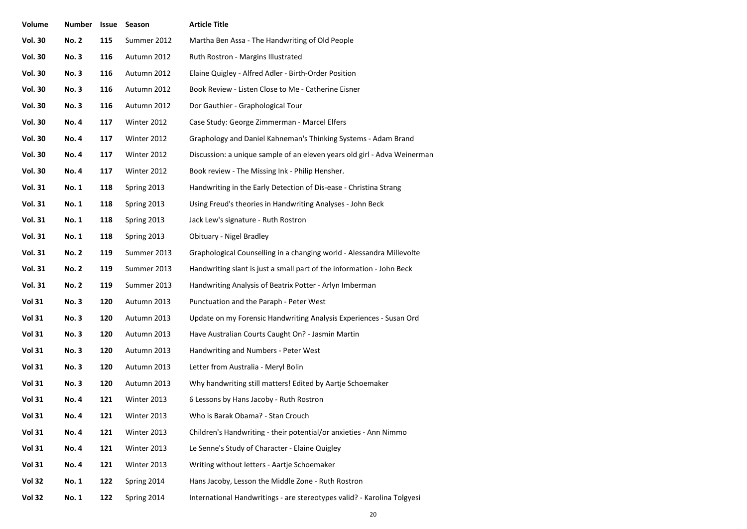| Volume         | <b>Number</b> | Issue | Season      | <b>Article Title</b>                                                     |
|----------------|---------------|-------|-------------|--------------------------------------------------------------------------|
| <b>Vol. 30</b> | <b>No. 2</b>  | 115   | Summer 2012 | Martha Ben Assa - The Handwriting of Old People                          |
| <b>Vol. 30</b> | <b>No.3</b>   | 116   | Autumn 2012 | Ruth Rostron - Margins Illustrated                                       |
| <b>Vol. 30</b> | <b>No.3</b>   | 116   | Autumn 2012 | Elaine Quigley - Alfred Adler - Birth-Order Position                     |
| <b>Vol. 30</b> | <b>No.3</b>   | 116   | Autumn 2012 | Book Review - Listen Close to Me - Catherine Eisner                      |
| <b>Vol. 30</b> | <b>No.3</b>   | 116   | Autumn 2012 | Dor Gauthier - Graphological Tour                                        |
| <b>Vol. 30</b> | <b>No.4</b>   | 117   | Winter 2012 | Case Study: George Zimmerman - Marcel Elfers                             |
| <b>Vol. 30</b> | <b>No. 4</b>  | 117   | Winter 2012 | Graphology and Daniel Kahneman's Thinking Systems - Adam Brand           |
| <b>Vol. 30</b> | <b>No. 4</b>  | 117   | Winter 2012 | Discussion: a unique sample of an eleven years old girl - Adva Weinerman |
| <b>Vol. 30</b> | <b>No. 4</b>  | 117   | Winter 2012 | Book review - The Missing Ink - Philip Hensher.                          |
| <b>Vol. 31</b> | <b>No. 1</b>  | 118   | Spring 2013 | Handwriting in the Early Detection of Dis-ease - Christina Strang        |
| <b>Vol. 31</b> | <b>No. 1</b>  | 118   | Spring 2013 | Using Freud's theories in Handwriting Analyses - John Beck               |
| <b>Vol. 31</b> | <b>No. 1</b>  | 118   | Spring 2013 | Jack Lew's signature - Ruth Rostron                                      |
| <b>Vol. 31</b> | <b>No. 1</b>  | 118   | Spring 2013 | Obituary - Nigel Bradley                                                 |
| <b>Vol. 31</b> | <b>No. 2</b>  | 119   | Summer 2013 | Graphological Counselling in a changing world - Alessandra Millevolte    |
| <b>Vol. 31</b> | <b>No. 2</b>  | 119   | Summer 2013 | Handwriting slant is just a small part of the information - John Beck    |
| <b>Vol. 31</b> | <b>No. 2</b>  | 119   | Summer 2013 | Handwriting Analysis of Beatrix Potter - Arlyn Imberman                  |
| <b>Vol 31</b>  | <b>No.3</b>   | 120   | Autumn 2013 | Punctuation and the Paraph - Peter West                                  |
| <b>Vol 31</b>  | <b>No.3</b>   | 120   | Autumn 2013 | Update on my Forensic Handwriting Analysis Experiences - Susan Ord       |
| <b>Vol 31</b>  | <b>No.3</b>   | 120   | Autumn 2013 | Have Australian Courts Caught On? - Jasmin Martin                        |
| <b>Vol 31</b>  | <b>No.3</b>   | 120   | Autumn 2013 | Handwriting and Numbers - Peter West                                     |
| <b>Vol 31</b>  | <b>No.3</b>   | 120   | Autumn 2013 | Letter from Australia - Meryl Bolin                                      |
| <b>Vol 31</b>  | <b>No.3</b>   | 120   | Autumn 2013 | Why handwriting still matters! Edited by Aartje Schoemaker               |
| <b>Vol 31</b>  | <b>No.4</b>   | 121   | Winter 2013 | 6 Lessons by Hans Jacoby - Ruth Rostron                                  |
| <b>Vol 31</b>  | No. 4         | 121   | Winter 2013 | Who is Barak Obama? - Stan Crouch                                        |
| <b>Vol 31</b>  | <b>No. 4</b>  | 121   | Winter 2013 | Children's Handwriting - their potential/or anxieties - Ann Nimmo        |
| <b>Vol 31</b>  | <b>No. 4</b>  | 121   | Winter 2013 | Le Senne's Study of Character - Elaine Quigley                           |
| <b>Vol 31</b>  | <b>No. 4</b>  | 121   | Winter 2013 | Writing without letters - Aartje Schoemaker                              |
| <b>Vol 32</b>  | No. 1         | 122   | Spring 2014 | Hans Jacoby, Lesson the Middle Zone - Ruth Rostron                       |
| <b>Vol 32</b>  | No. 1         | 122   | Spring 2014 | International Handwritings - are stereotypes valid? - Karolina Tolgyesi  |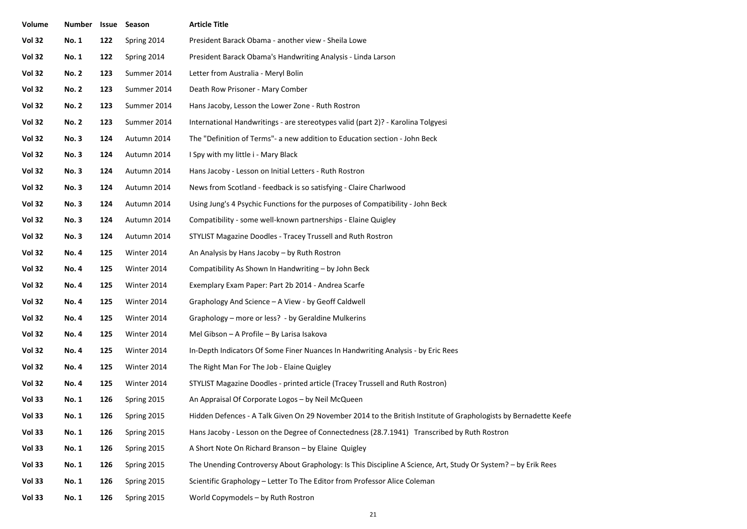| Volume        | <b>Number</b> | Issue | Season      | <b>Article Title</b>                                                                                             |
|---------------|---------------|-------|-------------|------------------------------------------------------------------------------------------------------------------|
| <b>Vol 32</b> | <b>No. 1</b>  | 122   | Spring 2014 | President Barack Obama - another view - Sheila Lowe                                                              |
| <b>Vol 32</b> | <b>No. 1</b>  | 122   | Spring 2014 | President Barack Obama's Handwriting Analysis - Linda Larson                                                     |
| <b>Vol 32</b> | <b>No. 2</b>  | 123   | Summer 2014 | Letter from Australia - Meryl Bolin                                                                              |
| <b>Vol 32</b> | <b>No. 2</b>  | 123   | Summer 2014 | Death Row Prisoner - Mary Comber                                                                                 |
| <b>Vol 32</b> | <b>No. 2</b>  | 123   | Summer 2014 | Hans Jacoby, Lesson the Lower Zone - Ruth Rostron                                                                |
| <b>Vol 32</b> | <b>No. 2</b>  | 123   | Summer 2014 | International Handwritings - are stereotypes valid (part 2)? - Karolina Tolgyesi                                 |
| <b>Vol 32</b> | <b>No.3</b>   | 124   | Autumn 2014 | The "Definition of Terms"- a new addition to Education section - John Beck                                       |
| <b>Vol 32</b> | <b>No.3</b>   | 124   | Autumn 2014 | I Spy with my little i - Mary Black                                                                              |
| <b>Vol 32</b> | <b>No.3</b>   | 124   | Autumn 2014 | Hans Jacoby - Lesson on Initial Letters - Ruth Rostron                                                           |
| <b>Vol 32</b> | <b>No.3</b>   | 124   | Autumn 2014 | News from Scotland - feedback is so satisfying - Claire Charlwood                                                |
| <b>Vol 32</b> | <b>No.3</b>   | 124   | Autumn 2014 | Using Jung's 4 Psychic Functions for the purposes of Compatibility - John Beck                                   |
| <b>Vol 32</b> | <b>No.3</b>   | 124   | Autumn 2014 | Compatibility - some well-known partnerships - Elaine Quigley                                                    |
| <b>Vol 32</b> | <b>No.3</b>   | 124   | Autumn 2014 | STYLIST Magazine Doodles - Tracey Trussell and Ruth Rostron                                                      |
| <b>Vol 32</b> | <b>No.4</b>   | 125   | Winter 2014 | An Analysis by Hans Jacoby - by Ruth Rostron                                                                     |
| <b>Vol 32</b> | <b>No.4</b>   | 125   | Winter 2014 | Compatibility As Shown In Handwriting - by John Beck                                                             |
| <b>Vol 32</b> | <b>No. 4</b>  | 125   | Winter 2014 | Exemplary Exam Paper: Part 2b 2014 - Andrea Scarfe                                                               |
| <b>Vol 32</b> | <b>No.4</b>   | 125   | Winter 2014 | Graphology And Science - A View - by Geoff Caldwell                                                              |
| <b>Vol 32</b> | <b>No.4</b>   | 125   | Winter 2014 | Graphology – more or less? - by Geraldine Mulkerins                                                              |
| <b>Vol 32</b> | <b>No.4</b>   | 125   | Winter 2014 | Mel Gibson - A Profile - By Larisa Isakova                                                                       |
| <b>Vol 32</b> | <b>No. 4</b>  | 125   | Winter 2014 | In-Depth Indicators Of Some Finer Nuances In Handwriting Analysis - by Eric Rees                                 |
| <b>Vol 32</b> | <b>No.4</b>   | 125   | Winter 2014 | The Right Man For The Job - Elaine Quigley                                                                       |
| <b>Vol 32</b> | <b>No.4</b>   | 125   | Winter 2014 | STYLIST Magazine Doodles - printed article (Tracey Trussell and Ruth Rostron)                                    |
| <b>Vol 33</b> | <b>No. 1</b>  | 126   | Spring 2015 | An Appraisal Of Corporate Logos - by Neil McQueen                                                                |
| Vol 33        | No. 1         | 126   | Spring 2015 | Hidden Defences - A Talk Given On 29 November 2014 to the British Institute of Graphologists by Bernadette Keefe |
| <b>Vol 33</b> | <b>No. 1</b>  | 126   | Spring 2015 | Hans Jacoby - Lesson on the Degree of Connectedness (28.7.1941) Transcribed by Ruth Rostron                      |
| <b>Vol 33</b> | <b>No. 1</b>  | 126   | Spring 2015 | A Short Note On Richard Branson - by Elaine Quigley                                                              |
| Vol 33        | <b>No. 1</b>  | 126   | Spring 2015 | The Unending Controversy About Graphology: Is This Discipline A Science, Art, Study Or System? - by Erik Rees    |
| <b>Vol 33</b> | <b>No. 1</b>  | 126   | Spring 2015 | Scientific Graphology - Letter To The Editor from Professor Alice Coleman                                        |
| <b>Vol 33</b> | <b>No. 1</b>  | 126   | Spring 2015 | World Copymodels - by Ruth Rostron                                                                               |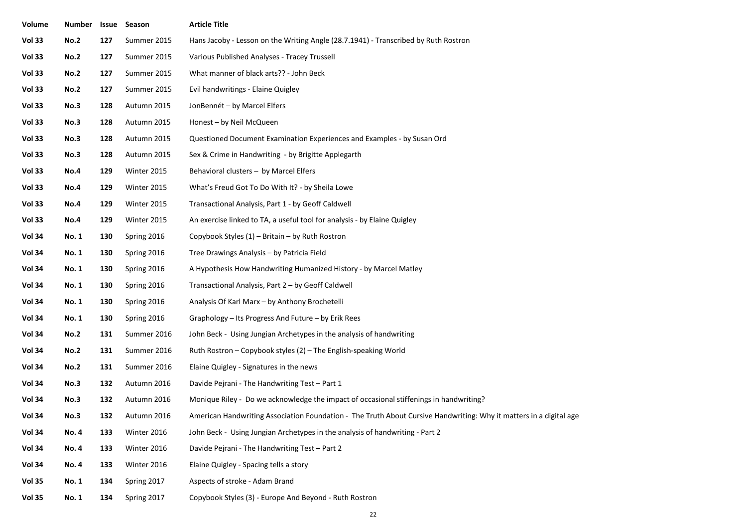| Volume        | Number       |     | <b>Issue Season</b> | <b>Article Title</b>                                                                                               |
|---------------|--------------|-----|---------------------|--------------------------------------------------------------------------------------------------------------------|
| Vol 33        | <b>No.2</b>  | 127 | Summer 2015         | Hans Jacoby - Lesson on the Writing Angle (28.7.1941) - Transcribed by Ruth Rostron                                |
| <b>Vol 33</b> | <b>No.2</b>  | 127 | Summer 2015         | Various Published Analyses - Tracey Trussell                                                                       |
| Vol 33        | <b>No.2</b>  | 127 | Summer 2015         | What manner of black arts?? - John Beck                                                                            |
| <b>Vol 33</b> | <b>No.2</b>  | 127 | Summer 2015         | Evil handwritings - Elaine Quigley                                                                                 |
| Vol 33        | No.3         | 128 | Autumn 2015         | JonBennét - by Marcel Elfers                                                                                       |
| Vol 33        | No.3         | 128 | Autumn 2015         | Honest - by Neil McQueen                                                                                           |
| Vol 33        | No.3         | 128 | Autumn 2015         | Questioned Document Examination Experiences and Examples - by Susan Ord                                            |
| Vol 33        | No.3         | 128 | Autumn 2015         | Sex & Crime in Handwriting - by Brigitte Applegarth                                                                |
| Vol 33        | No.4         | 129 | Winter 2015         | Behavioral clusters - by Marcel Elfers                                                                             |
| Vol 33        | No.4         | 129 | Winter 2015         | What's Freud Got To Do With It? - by Sheila Lowe                                                                   |
| Vol 33        | No.4         | 129 | Winter 2015         | Transactional Analysis, Part 1 - by Geoff Caldwell                                                                 |
| Vol 33        | No.4         | 129 | Winter 2015         | An exercise linked to TA, a useful tool for analysis - by Elaine Quigley                                           |
| <b>Vol 34</b> | No. 1        | 130 | Spring 2016         | Copybook Styles (1) - Britain - by Ruth Rostron                                                                    |
| <b>Vol 34</b> | <b>No. 1</b> | 130 | Spring 2016         | Tree Drawings Analysis - by Patricia Field                                                                         |
| <b>Vol 34</b> | <b>No. 1</b> | 130 | Spring 2016         | A Hypothesis How Handwriting Humanized History - by Marcel Matley                                                  |
| <b>Vol 34</b> | <b>No. 1</b> | 130 | Spring 2016         | Transactional Analysis, Part 2 - by Geoff Caldwell                                                                 |
| <b>Vol 34</b> | <b>No. 1</b> | 130 | Spring 2016         | Analysis Of Karl Marx - by Anthony Brochetelli                                                                     |
| <b>Vol 34</b> | <b>No. 1</b> | 130 | Spring 2016         | Graphology – Its Progress And Future – by Erik Rees                                                                |
| <b>Vol 34</b> | <b>No.2</b>  | 131 | Summer 2016         | John Beck - Using Jungian Archetypes in the analysis of handwriting                                                |
| <b>Vol 34</b> | <b>No.2</b>  | 131 | Summer 2016         | Ruth Rostron - Copybook styles (2) - The English-speaking World                                                    |
| <b>Vol 34</b> | <b>No.2</b>  | 131 | Summer 2016         | Elaine Quigley - Signatures in the news                                                                            |
| <b>Vol 34</b> | No.3         | 132 | Autumn 2016         | Davide Pejrani - The Handwriting Test - Part 1                                                                     |
| <b>Vol 34</b> | No.3         | 132 | Autumn 2016         | Monique Riley - Do we acknowledge the impact of occasional stiffenings in handwriting?                             |
| Vol 34        | No.3         | 132 | Autumn 2016         | American Handwriting Association Foundation - The Truth About Cursive Handwriting: Why it matters in a digital age |
| <b>Vol 34</b> | <b>No. 4</b> | 133 | Winter 2016         | John Beck - Using Jungian Archetypes in the analysis of handwriting - Part 2                                       |
| <b>Vol 34</b> | <b>No.4</b>  | 133 | Winter 2016         | Davide Pejrani - The Handwriting Test - Part 2                                                                     |
| <b>Vol 34</b> | <b>No.4</b>  | 133 | Winter 2016         | Elaine Quigley - Spacing tells a story                                                                             |
| <b>Vol 35</b> | <b>No. 1</b> | 134 | Spring 2017         | Aspects of stroke - Adam Brand                                                                                     |
| <b>Vol 35</b> | <b>No. 1</b> | 134 | Spring 2017         | Copybook Styles (3) - Europe And Beyond - Ruth Rostron                                                             |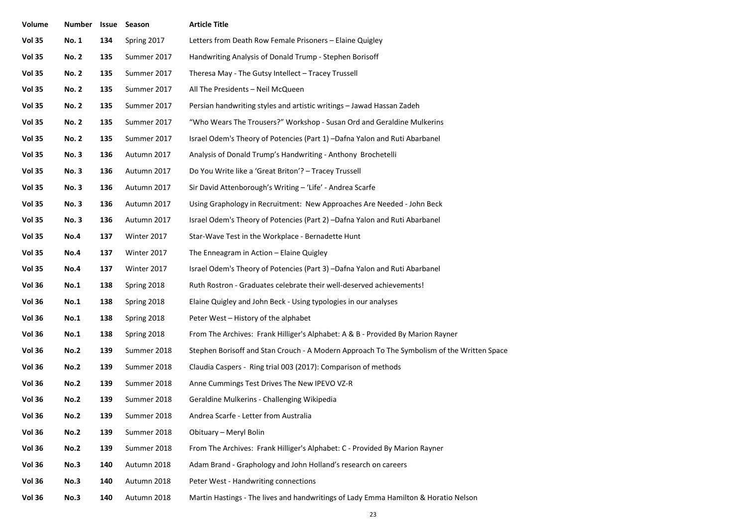| Volume        | Number       | Issue | Season      | <b>Article Title</b>                                                                       |
|---------------|--------------|-------|-------------|--------------------------------------------------------------------------------------------|
| <b>Vol 35</b> | <b>No. 1</b> | 134   | Spring 2017 | Letters from Death Row Female Prisoners - Elaine Quigley                                   |
| <b>Vol 35</b> | <b>No. 2</b> | 135   | Summer 2017 | Handwriting Analysis of Donald Trump - Stephen Borisoff                                    |
| <b>Vol 35</b> | <b>No. 2</b> | 135   | Summer 2017 | Theresa May - The Gutsy Intellect - Tracey Trussell                                        |
| <b>Vol 35</b> | <b>No. 2</b> | 135   | Summer 2017 | All The Presidents - Neil McQueen                                                          |
| <b>Vol 35</b> | <b>No. 2</b> | 135   | Summer 2017 | Persian handwriting styles and artistic writings - Jawad Hassan Zadeh                      |
| <b>Vol 35</b> | <b>No. 2</b> | 135   | Summer 2017 | "Who Wears The Trousers?" Workshop - Susan Ord and Geraldine Mulkerins                     |
| <b>Vol 35</b> | <b>No. 2</b> | 135   | Summer 2017 | Israel Odem's Theory of Potencies (Part 1) -Dafna Yalon and Ruti Abarbanel                 |
| <b>Vol 35</b> | <b>No.3</b>  | 136   | Autumn 2017 | Analysis of Donald Trump's Handwriting - Anthony Brochetelli                               |
| <b>Vol 35</b> | <b>No.3</b>  | 136   | Autumn 2017 | Do You Write like a 'Great Briton'? - Tracey Trussell                                      |
| <b>Vol 35</b> | <b>No.3</b>  | 136   | Autumn 2017 | Sir David Attenborough's Writing - 'Life' - Andrea Scarfe                                  |
| <b>Vol 35</b> | <b>No.3</b>  | 136   | Autumn 2017 | Using Graphology in Recruitment: New Approaches Are Needed - John Beck                     |
| <b>Vol 35</b> | No. 3        | 136   | Autumn 2017 | Israel Odem's Theory of Potencies (Part 2) –Dafna Yalon and Ruti Abarbanel                 |
| <b>Vol 35</b> | <b>No.4</b>  | 137   | Winter 2017 | Star-Wave Test in the Workplace - Bernadette Hunt                                          |
| <b>Vol 35</b> | <b>No.4</b>  | 137   | Winter 2017 | The Enneagram in Action - Elaine Quigley                                                   |
| <b>Vol 35</b> | <b>No.4</b>  | 137   | Winter 2017 | Israel Odem's Theory of Potencies (Part 3) -Dafna Yalon and Ruti Abarbanel                 |
| <b>Vol 36</b> | No.1         | 138   | Spring 2018 | Ruth Rostron - Graduates celebrate their well-deserved achievements!                       |
| <b>Vol 36</b> | <b>No.1</b>  | 138   | Spring 2018 | Elaine Quigley and John Beck - Using typologies in our analyses                            |
| <b>Vol 36</b> | <b>No.1</b>  | 138   | Spring 2018 | Peter West - History of the alphabet                                                       |
| <b>Vol 36</b> | <b>No.1</b>  | 138   | Spring 2018 | From The Archives: Frank Hilliger's Alphabet: A & B - Provided By Marion Rayner            |
| <b>Vol 36</b> | <b>No.2</b>  | 139   | Summer 2018 | Stephen Borisoff and Stan Crouch - A Modern Approach To The Symbolism of the Written Space |
| <b>Vol 36</b> | <b>No.2</b>  | 139   | Summer 2018 | Claudia Caspers - Ring trial 003 (2017): Comparison of methods                             |
| <b>Vol 36</b> | <b>No.2</b>  | 139   | Summer 2018 | Anne Cummings Test Drives The New IPEVO VZ-R                                               |
| <b>Vol 36</b> | <b>No.2</b>  | 139   | Summer 2018 | Geraldine Mulkerins - Challenging Wikipedia                                                |
| Vol 36        | <b>No.2</b>  | 139   | Summer 2018 | Andrea Scarfe - Letter from Australia                                                      |
| <b>Vol 36</b> | <b>No.2</b>  | 139   | Summer 2018 | Obituary - Meryl Bolin                                                                     |
| <b>Vol 36</b> | <b>No.2</b>  | 139   | Summer 2018 | From The Archives: Frank Hilliger's Alphabet: C - Provided By Marion Rayner                |
| <b>Vol 36</b> | No.3         | 140   | Autumn 2018 | Adam Brand - Graphology and John Holland's research on careers                             |
| <b>Vol 36</b> | No.3         | 140   | Autumn 2018 | Peter West - Handwriting connections                                                       |
| <b>Vol 36</b> | <b>No.3</b>  | 140   | Autumn 2018 | Martin Hastings - The lives and handwritings of Lady Emma Hamilton & Horatio Nelson        |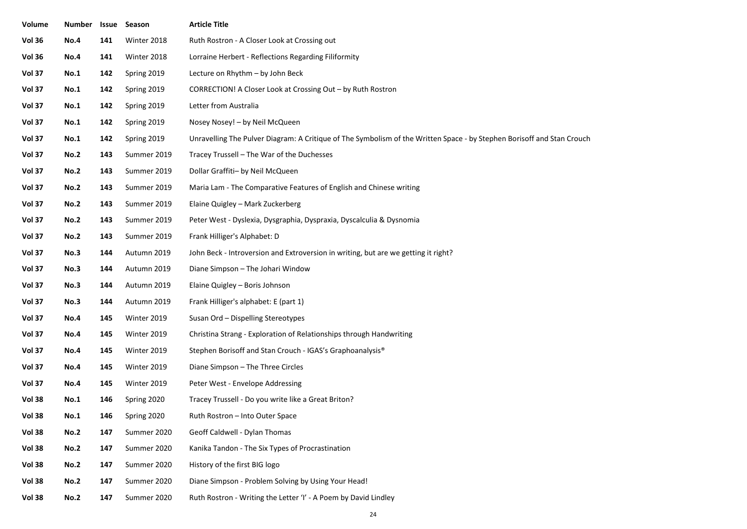| Volume        | <b>Number</b> |     | <b>Issue Season</b> | Article Title                                                                                                          |
|---------------|---------------|-----|---------------------|------------------------------------------------------------------------------------------------------------------------|
| <b>Vol 36</b> | <b>No.4</b>   | 141 | Winter 2018         | Ruth Rostron - A Closer Look at Crossing out                                                                           |
| <b>Vol 36</b> | No.4          | 141 | Winter 2018         | Lorraine Herbert - Reflections Regarding Filiformity                                                                   |
| Vol 37        | <b>No.1</b>   | 142 | Spring 2019         | Lecture on Rhythm - by John Beck                                                                                       |
| Vol 37        | <b>No.1</b>   | 142 | Spring 2019         | CORRECTION! A Closer Look at Crossing Out - by Ruth Rostron                                                            |
| Vol 37        | <b>No.1</b>   | 142 | Spring 2019         | Letter from Australia                                                                                                  |
| Vol 37        | <b>No.1</b>   | 142 | Spring 2019         | Nosey Nosey! - by Neil McQueen                                                                                         |
| Vol 37        | <b>No.1</b>   | 142 | Spring 2019         | Unravelling The Pulver Diagram: A Critique of The Symbolism of the Written Space - by Stephen Borisoff and Stan Crouch |
| Vol 37        | <b>No.2</b>   | 143 | Summer 2019         | Tracey Trussell – The War of the Duchesses                                                                             |
| Vol 37        | <b>No.2</b>   | 143 | Summer 2019         | Dollar Graffiti- by Neil McQueen                                                                                       |
| Vol 37        | <b>No.2</b>   | 143 | Summer 2019         | Maria Lam - The Comparative Features of English and Chinese writing                                                    |
| <b>Vol 37</b> | <b>No.2</b>   | 143 | Summer 2019         | Elaine Quigley - Mark Zuckerberg                                                                                       |
| Vol 37        | <b>No.2</b>   | 143 | Summer 2019         | Peter West - Dyslexia, Dysgraphia, Dyspraxia, Dyscalculia & Dysnomia                                                   |
| Vol 37        | <b>No.2</b>   | 143 | Summer 2019         | Frank Hilliger's Alphabet: D                                                                                           |
| Vol 37        | <b>No.3</b>   | 144 | Autumn 2019         | John Beck - Introversion and Extroversion in writing, but are we getting it right?                                     |
| Vol 37        | No.3          | 144 | Autumn 2019         | Diane Simpson - The Johari Window                                                                                      |
| Vol 37        | No.3          | 144 | Autumn 2019         | Elaine Quigley - Boris Johnson                                                                                         |
| Vol 37        | No.3          | 144 | Autumn 2019         | Frank Hilliger's alphabet: E (part 1)                                                                                  |
| Vol 37        | No.4          | 145 | Winter 2019         | Susan Ord - Dispelling Stereotypes                                                                                     |
| Vol 37        | No.4          | 145 | Winter 2019         | Christina Strang - Exploration of Relationships through Handwriting                                                    |
| Vol 37        | <b>No.4</b>   | 145 | Winter 2019         | Stephen Borisoff and Stan Crouch - IGAS's Graphoanalysis <sup>®</sup>                                                  |
| Vol 37        | No.4          | 145 | Winter 2019         | Diane Simpson - The Three Circles                                                                                      |
| Vol 37        | No.4          | 145 | Winter 2019         | Peter West - Envelope Addressing                                                                                       |
| <b>Vol 38</b> | <b>No.1</b>   | 146 | Spring 2020         | Tracey Trussell - Do you write like a Great Briton?                                                                    |
| <b>Vol 38</b> | <b>No.1</b>   | 146 | Spring 2020         | Ruth Rostron - Into Outer Space                                                                                        |
| <b>Vol 38</b> | <b>No.2</b>   | 147 | Summer 2020         | Geoff Caldwell - Dylan Thomas                                                                                          |
| Vol 38        | <b>No.2</b>   | 147 | Summer 2020         | Kanika Tandon - The Six Types of Procrastination                                                                       |
| Vol 38        | <b>No.2</b>   | 147 | Summer 2020         | History of the first BIG logo                                                                                          |
| Vol 38        | <b>No.2</b>   | 147 | Summer 2020         | Diane Simpson - Problem Solving by Using Your Head!                                                                    |
| Vol 38        | <b>No.2</b>   | 147 | Summer 2020         | Ruth Rostron - Writing the Letter 'I' - A Poem by David Lindley                                                        |
|               |               |     |                     |                                                                                                                        |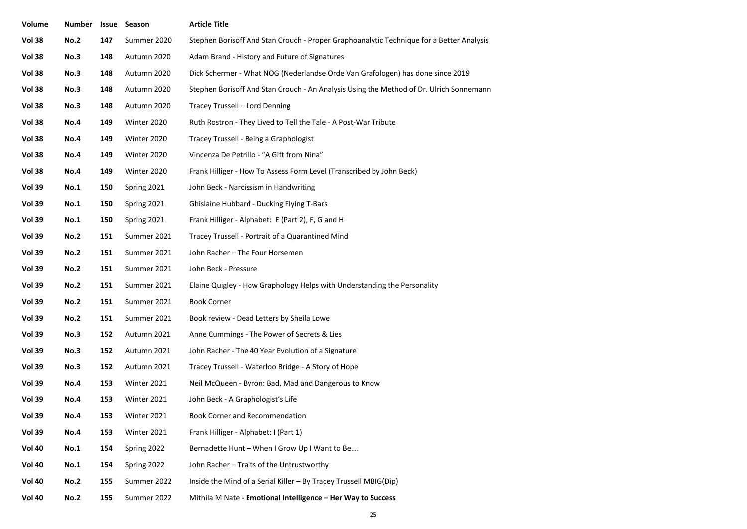| Volume        | Number      |     | Issue Season | <b>Article Title</b>                                                                     |
|---------------|-------------|-----|--------------|------------------------------------------------------------------------------------------|
| <b>Vol 38</b> | <b>No.2</b> | 147 | Summer 2020  | Stephen Borisoff And Stan Crouch - Proper Graphoanalytic Technique for a Better Analysis |
| <b>Vol 38</b> | <b>No.3</b> | 148 | Autumn 2020  | Adam Brand - History and Future of Signatures                                            |
| <b>Vol 38</b> | <b>No.3</b> | 148 | Autumn 2020  | Dick Schermer - What NOG (Nederlandse Orde Van Grafologen) has done since 2019           |
| <b>Vol 38</b> | No.3        | 148 | Autumn 2020  | Stephen Borisoff And Stan Crouch - An Analysis Using the Method of Dr. Ulrich Sonnemann  |
| <b>Vol 38</b> | <b>No.3</b> | 148 | Autumn 2020  | Tracey Trussell - Lord Denning                                                           |
| Vol 38        | No.4        | 149 | Winter 2020  | Ruth Rostron - They Lived to Tell the Tale - A Post-War Tribute                          |
| <b>Vol 38</b> | <b>No.4</b> | 149 | Winter 2020  | Tracey Trussell - Being a Graphologist                                                   |
| <b>Vol 38</b> | <b>No.4</b> | 149 | Winter 2020  | Vincenza De Petrillo - "A Gift from Nina"                                                |
| <b>Vol 38</b> | <b>No.4</b> | 149 | Winter 2020  | Frank Hilliger - How To Assess Form Level (Transcribed by John Beck)                     |
| <b>Vol 39</b> | <b>No.1</b> | 150 | Spring 2021  | John Beck - Narcissism in Handwriting                                                    |
| <b>Vol 39</b> | <b>No.1</b> | 150 | Spring 2021  | Ghislaine Hubbard - Ducking Flying T-Bars                                                |
| <b>Vol 39</b> | <b>No.1</b> | 150 | Spring 2021  | Frank Hilliger - Alphabet: E (Part 2), F, G and H                                        |
| <b>Vol 39</b> | <b>No.2</b> | 151 | Summer 2021  | Tracey Trussell - Portrait of a Quarantined Mind                                         |
| <b>Vol 39</b> | <b>No.2</b> | 151 | Summer 2021  | John Racher - The Four Horsemen                                                          |
| <b>Vol 39</b> | <b>No.2</b> | 151 | Summer 2021  | John Beck - Pressure                                                                     |
| <b>Vol 39</b> | <b>No.2</b> | 151 | Summer 2021  | Elaine Quigley - How Graphology Helps with Understanding the Personality                 |
| <b>Vol 39</b> | <b>No.2</b> | 151 | Summer 2021  | <b>Book Corner</b>                                                                       |
| <b>Vol 39</b> | <b>No.2</b> | 151 | Summer 2021  | Book review - Dead Letters by Sheila Lowe                                                |
| <b>Vol 39</b> | <b>No.3</b> | 152 | Autumn 2021  | Anne Cummings - The Power of Secrets & Lies                                              |
| <b>Vol 39</b> | No.3        | 152 | Autumn 2021  | John Racher - The 40 Year Evolution of a Signature                                       |
| <b>Vol 39</b> | <b>No.3</b> | 152 | Autumn 2021  | Tracey Trussell - Waterloo Bridge - A Story of Hope                                      |
| <b>Vol 39</b> | <b>No.4</b> | 153 | Winter 2021  | Neil McQueen - Byron: Bad, Mad and Dangerous to Know                                     |
| <b>Vol 39</b> | <b>No.4</b> | 153 | Winter 2021  | John Beck - A Graphologist's Life                                                        |
| <b>Vol 39</b> | No.4        | 153 | Winter 2021  | Book Corner and Recommendation                                                           |
| <b>Vol 39</b> | <b>No.4</b> | 153 | Winter 2021  | Frank Hilliger - Alphabet: I (Part 1)                                                    |
| <b>Vol 40</b> | <b>No.1</b> | 154 | Spring 2022  | Bernadette Hunt - When I Grow Up I Want to Be                                            |
| <b>Vol 40</b> | <b>No.1</b> | 154 | Spring 2022  | John Racher - Traits of the Untrustworthy                                                |
| <b>Vol 40</b> | <b>No.2</b> | 155 | Summer 2022  | Inside the Mind of a Serial Killer - By Tracey Trussell MBIG(Dip)                        |
| <b>Vol 40</b> | <b>No.2</b> | 155 | Summer 2022  | Mithila M Nate - Emotional Intelligence - Her Way to Success                             |